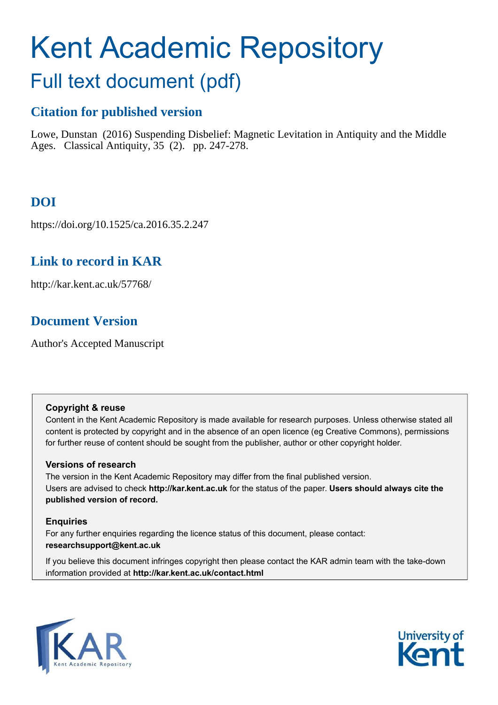# Kent Academic Repository

## Full text document (pdf)

### **Citation for published version**

Lowe, Dunstan (2016) Suspending Disbelief: Magnetic Levitation in Antiquity and the Middle Ages. Classical Antiquity, 35 (2). pp. 247-278.

## **DOI**

https://doi.org/10.1525/ca.2016.35.2.247

## **Link to record in KAR**

http://kar.kent.ac.uk/57768/

## **Document Version**

Author's Accepted Manuscript

#### **Copyright & reuse**

Content in the Kent Academic Repository is made available for research purposes. Unless otherwise stated all content is protected by copyright and in the absence of an open licence (eg Creative Commons), permissions for further reuse of content should be sought from the publisher, author or other copyright holder.

#### **Versions of research**

The version in the Kent Academic Repository may differ from the final published version. Users are advised to check **http://kar.kent.ac.uk** for the status of the paper. **Users should always cite the published version of record.**

#### **Enquiries**

For any further enquiries regarding the licence status of this document, please contact: **researchsupport@kent.ac.uk**

If you believe this document infringes copyright then please contact the KAR admin team with the take-down information provided at **http://kar.kent.ac.uk/contact.html**



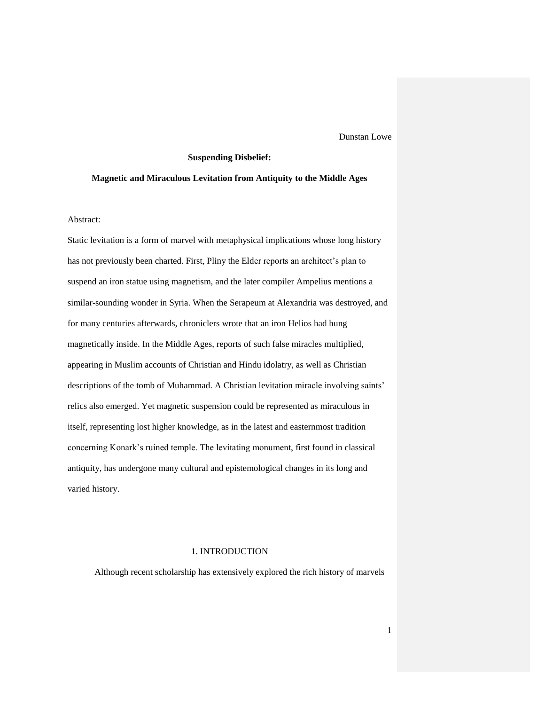Dunstan Lowe

#### **Suspending Disbelief:**

#### **Magnetic and Miraculous Levitation from Antiquity to the Middle Ages**

Abstract:

Static levitation is a form of marvel with metaphysical implications whose long history has not previously been charted. First, Pliny the Elder reports an architect's plan to suspend an iron statue using magnetism, and the later compiler Ampelius mentions a similar-sounding wonder in Syria. When the Serapeum at Alexandria was destroyed, and for many centuries afterwards, chroniclers wrote that an iron Helios had hung magnetically inside. In the Middle Ages, reports of such false miracles multiplied, appearing in Muslim accounts of Christian and Hindu idolatry, as well as Christian descriptions of the tomb of Muhammad. A Christian levitation miracle involving saints' relics also emerged. Yet magnetic suspension could be represented as miraculous in itself, representing lost higher knowledge, as in the latest and easternmost tradition concerning Konark's ruined temple. The levitating monument, first found in classical antiquity, has undergone many cultural and epistemological changes in its long and varied history.

#### 1. INTRODUCTION

Although recent scholarship has extensively explored the rich history of marvels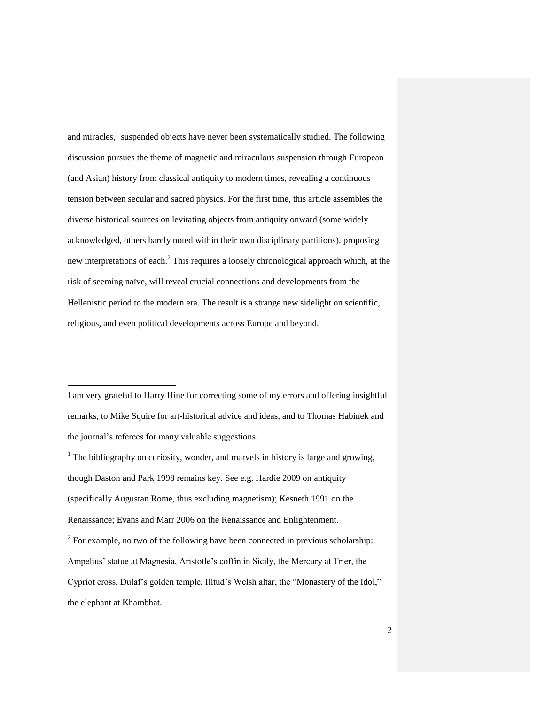and miracles,<sup>1</sup> suspended objects have never been systematically studied. The following discussion pursues the theme of magnetic and miraculous suspension through European (and Asian) history from classical antiquity to modern times, revealing a continuous tension between secular and sacred physics. For the first time, this article assembles the diverse historical sources on levitating objects from antiquity onward (some widely acknowledged, others barely noted within their own disciplinary partitions), proposing new interpretations of each.<sup>2</sup> This requires a loosely chronological approach which, at the risk of seeming naïve, will reveal crucial connections and developments from the Hellenistic period to the modern era. The result is a strange new sidelight on scientific, religious, and even political developments across Europe and beyond.

I am very grateful to Harry Hine for correcting some of my errors and offering insightful remarks, to Mike Squire for art-historical advice and ideas, and to Thomas Habinek and the journal's referees for many valuable suggestions.

-

 $<sup>1</sup>$  The bibliography on curiosity, wonder, and marvels in history is large and growing,</sup> though Daston and Park 1998 remains key. See e.g. Hardie 2009 on antiquity (specifically Augustan Rome, thus excluding magnetism); Kesneth 1991 on the Renaissance; Evans and Marr 2006 on the Renaissance and Enlightenment.  $2^2$  For example, no two of the following have been connected in previous scholarship: Ampelius' statue at Magnesia, Aristotle's coffin in Sicily, the Mercury at Trier, the Cypriot cross, Dulaf's golden temple, Illtud's Welsh altar, the "Monastery of the Idol," the elephant at Khambhat.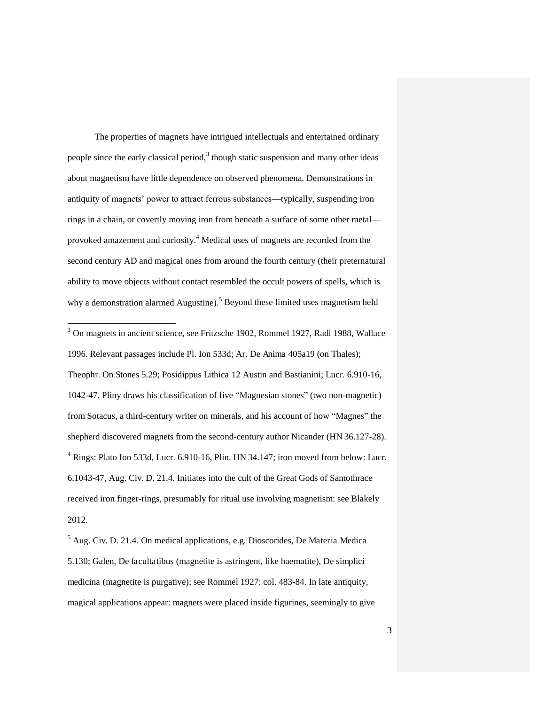The properties of magnets have intrigued intellectuals and entertained ordinary people since the early classical period, $3$  though static suspension and many other ideas about magnetism have little dependence on observed phenomena. Demonstrations in antiquity of magnets' power to attract ferrous substances—typically, suspending iron rings in a chain, or covertly moving iron from beneath a surface of some other metal provoked amazement and curiosity.<sup>4</sup> Medical uses of magnets are recorded from the second century AD and magical ones from around the fourth century (their preternatural ability to move objects without contact resembled the occult powers of spells, which is why a demonstration alarmed Augustine).<sup>5</sup> Beyond these limited uses magnetism held

 3 On magnets in ancient science, see Fritzsche 1902, Rommel 1927, Radl 1988, Wallace 1996. Relevant passages include Pl. Ion 533d; Ar. De Anima 405a19 (on Thales); Theophr. On Stones 5.29; Posidippus Lithica 12 Austin and Bastianini; Lucr. 6.910-16, 1042-47. Pliny draws his classification of five "Magnesian stones" (two non-magnetic) from Sotacus, a third-century writer on minerals, and his account of how "Magnes" the shepherd discovered magnets from the second-century author Nicander (HN 36.127-28). <sup>4</sup> Rings: Plato Ion 533d, Lucr. 6.910-16, Plin. HN 34.147; iron moved from below: Lucr. 6.1043-47, Aug. Civ. D. 21.4. Initiates into the cult of the Great Gods of Samothrace received iron finger-rings, presumably for ritual use involving magnetism: see Blakely 2012.

5 Aug. Civ. D. 21.4. On medical applications, e.g. Dioscorides, De Materia Medica 5.130; Galen, De facultatibus (magnetite is astringent, like haematite), De simplici medicina (magnetite is purgative); see Rommel 1927: col. 483-84. In late antiquity, magical applications appear: magnets were placed inside figurines, seemingly to give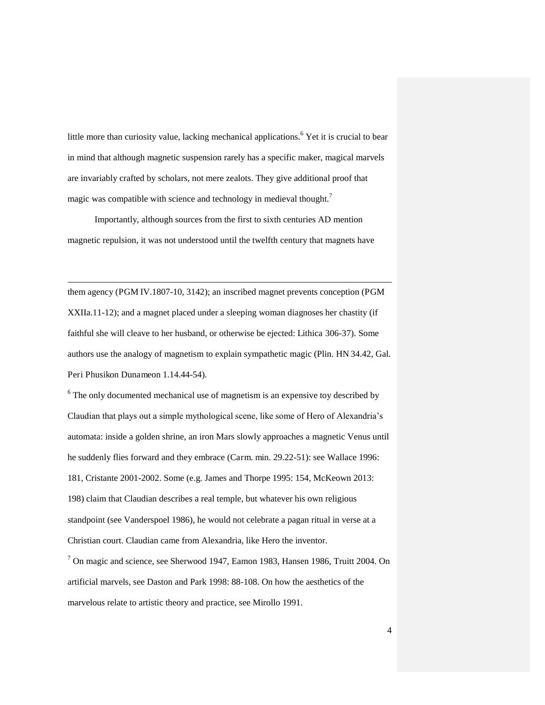little more than curiosity value, lacking mechanical applications.<sup>6</sup> Yet it is crucial to bear in mind that although magnetic suspension rarely has a specific maker, magical marvels are invariably crafted by scholars, not mere zealots. They give additional proof that magic was compatible with science and technology in medieval thought.<sup>7</sup>

Importantly, although sources from the first to sixth centuries AD mention magnetic repulsion, it was not understood until the twelfth century that magnets have

-

them agency (PGM IV.1807-10, 3142); an inscribed magnet prevents conception (PGM XXIIa.11-12); and a magnet placed under a sleeping woman diagnoses her chastity (if faithful she will cleave to her husband, or otherwise be ejected: Lithica 306-37). Some authors use the analogy of magnetism to explain sympathetic magic (Plin. HN 34.42, Gal. Peri Phusikon Dunameon 1.14.44-54).

<sup>6</sup> The only documented mechanical use of magnetism is an expensive toy described by Claudian that plays out a simple mythological scene, like some of Hero of Alexandria's automata: inside a golden shrine, an iron Mars slowly approaches a magnetic Venus until he suddenly flies forward and they embrace (Carm. min. 29.22-51): see Wallace 1996: 181, Cristante 2001-2002. Some (e.g. James and Thorpe 1995: 154, McKeown 2013: 198) claim that Claudian describes a real temple, but whatever his own religious standpoint (see Vanderspoel 1986), he would not celebrate a pagan ritual in verse at a Christian court. Claudian came from Alexandria, like Hero the inventor.

<sup>7</sup> On magic and science, see Sherwood 1947, Eamon 1983, Hansen 1986, Truitt 2004. On artificial marvels, see Daston and Park 1998: 88-108. On how the aesthetics of the marvelous relate to artistic theory and practice, see Mirollo 1991.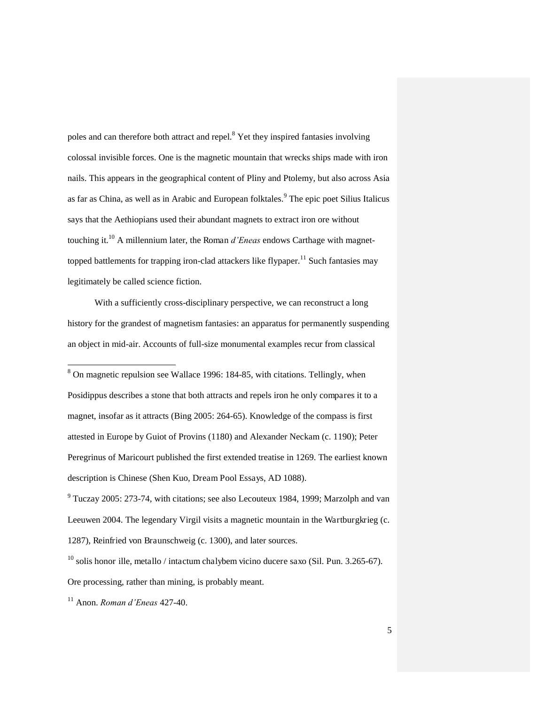poles and can therefore both attract and repel.<sup>8</sup> Yet they inspired fantasies involving colossal invisible forces. One is the magnetic mountain that wrecks ships made with iron nails. This appears in the geographical content of Pliny and Ptolemy, but also across Asia as far as China, as well as in Arabic and European folktales.<sup>9</sup> The epic poet Silius Italicus says that the Aethiopians used their abundant magnets to extract iron ore without touching it.<sup>10</sup> A millennium later, the Roman *d'Eneas* endows Carthage with magnettopped battlements for trapping iron-clad attackers like flypaper.<sup>11</sup> Such fantasies may legitimately be called science fiction.

With a sufficiently cross-disciplinary perspective, we can reconstruct a long history for the grandest of magnetism fantasies: an apparatus for permanently suspending an object in mid-air. Accounts of full-size monumental examples recur from classical

<sup>8</sup> On magnetic repulsion see Wallace 1996: 184-85, with citations. Tellingly, when Posidippus describes a stone that both attracts and repels iron he only compares it to a magnet, insofar as it attracts (Bing 2005: 264-65). Knowledge of the compass is first attested in Europe by Guiot of Provins (1180) and Alexander Neckam (c. 1190); Peter Peregrinus of Maricourt published the first extended treatise in 1269. The earliest known description is Chinese (Shen Kuo, Dream Pool Essays, AD 1088).

 $9$  Tuczay 2005: 273-74, with citations; see also Lecouteux 1984, 1999; Marzolph and van Leeuwen 2004. The legendary Virgil visits a magnetic mountain in the Wartburgkrieg (c. 1287), Reinfried von Braunschweig (c. 1300), and later sources.

 $10$  solis honor ille, metallo / intactum chalybem vicino ducere saxo (Sil. Pun. 3.265-67). Ore processing, rather than mining, is probably meant.

<sup>11</sup> Anon. *Roman d'Eneas* 427-40.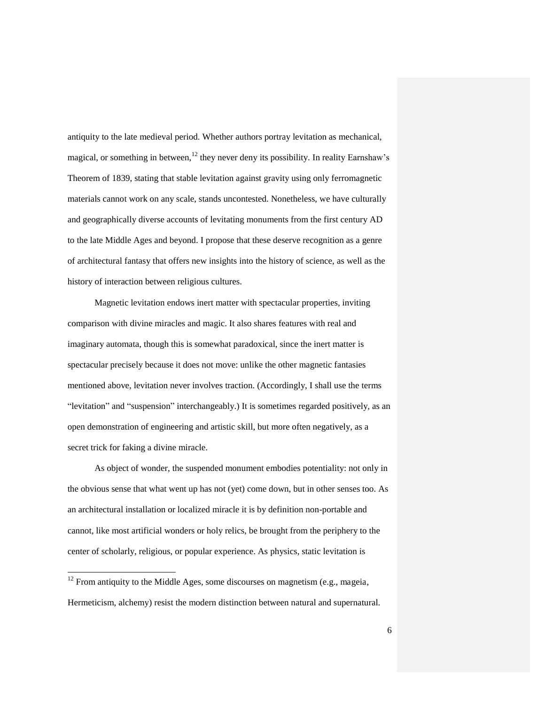antiquity to the late medieval period. Whether authors portray levitation as mechanical, magical, or something in between,<sup>12</sup> they never deny its possibility. In reality Earnshaw's Theorem of 1839, stating that stable levitation against gravity using only ferromagnetic materials cannot work on any scale, stands uncontested. Nonetheless, we have culturally and geographically diverse accounts of levitating monuments from the first century AD to the late Middle Ages and beyond. I propose that these deserve recognition as a genre of architectural fantasy that offers new insights into the history of science, as well as the history of interaction between religious cultures.

Magnetic levitation endows inert matter with spectacular properties, inviting comparison with divine miracles and magic. It also shares features with real and imaginary automata, though this is somewhat paradoxical, since the inert matter is spectacular precisely because it does not move: unlike the other magnetic fantasies mentioned above, levitation never involves traction. (Accordingly, I shall use the terms "levitation" and "suspension" interchangeably.) It is sometimes regarded positively, as an open demonstration of engineering and artistic skill, but more often negatively, as a secret trick for faking a divine miracle.

As object of wonder, the suspended monument embodies potentiality: not only in the obvious sense that what went up has not (yet) come down, but in other senses too. As an architectural installation or localized miracle it is by definition non-portable and cannot, like most artificial wonders or holy relics, be brought from the periphery to the center of scholarly, religious, or popular experience. As physics, static levitation is

l

 $12$  From antiquity to the Middle Ages, some discourses on magnetism (e.g., mageia, Hermeticism, alchemy) resist the modern distinction between natural and supernatural.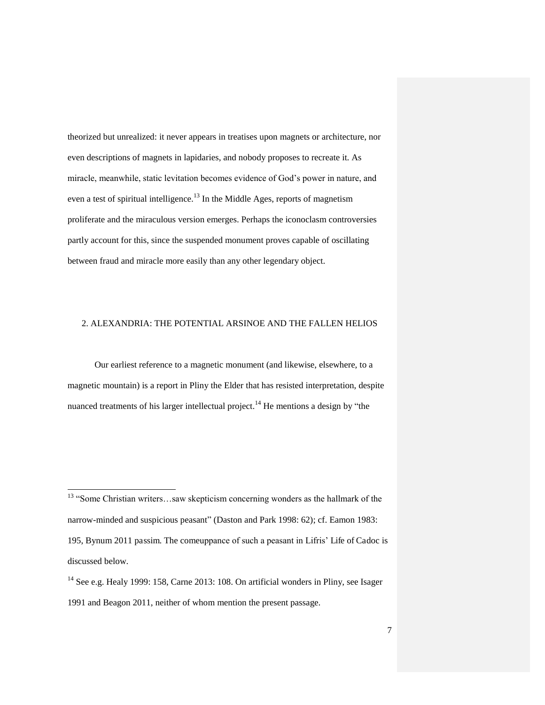theorized but unrealized: it never appears in treatises upon magnets or architecture, nor even descriptions of magnets in lapidaries, and nobody proposes to recreate it. As miracle, meanwhile, static levitation becomes evidence of God's power in nature, and even a test of spiritual intelligence.<sup>13</sup> In the Middle Ages, reports of magnetism proliferate and the miraculous version emerges. Perhaps the iconoclasm controversies partly account for this, since the suspended monument proves capable of oscillating between fraud and miracle more easily than any other legendary object.

#### 2. ALEXANDRIA: THE POTENTIAL ARSINOE AND THE FALLEN HELIOS

Our earliest reference to a magnetic monument (and likewise, elsewhere, to a magnetic mountain) is a report in Pliny the Elder that has resisted interpretation, despite nuanced treatments of his larger intellectual project.<sup>14</sup> He mentions a design by "the

<sup>&</sup>lt;sup>13</sup> "Some Christian writers...saw skepticism concerning wonders as the hallmark of the narrow-minded and suspicious peasant" (Daston and Park 1998: 62); cf. Eamon 1983: 195, Bynum 2011 passim. The comeuppance of such a peasant in Lifris' Life of Cadoc is discussed below.

<sup>&</sup>lt;sup>14</sup> See e.g. Healy 1999: 158, Carne 2013: 108. On artificial wonders in Pliny, see Isager 1991 and Beagon 2011, neither of whom mention the present passage.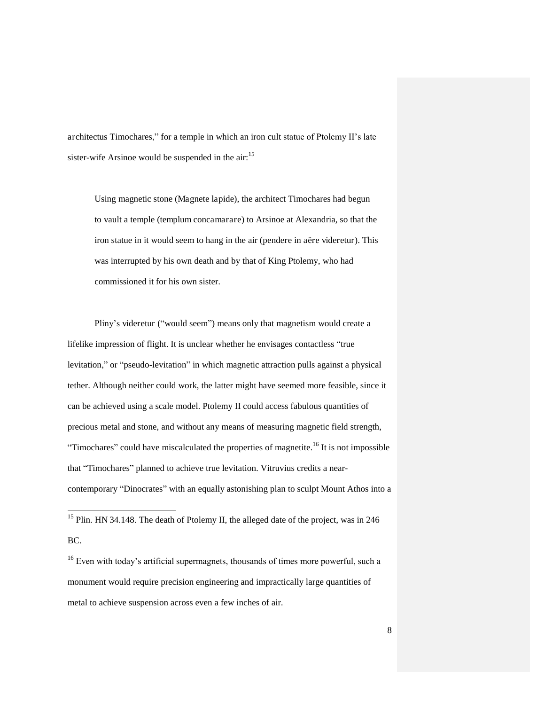architectus Timochares," for a temple in which an iron cult statue of Ptolemy II's late sister-wife Arsinoe would be suspended in the  $air:$ <sup>15</sup>

Using magnetic stone (Magnete lapide), the architect Timochares had begun to vault a temple (templum concamarare) to Arsinoe at Alexandria, so that the iron statue in it would seem to hang in the air (pendere in aëre videretur). This was interrupted by his own death and by that of King Ptolemy, who had commissioned it for his own sister.

Pliny's videretur ("would seem") means only that magnetism would create a lifelike impression of flight. It is unclear whether he envisages contactless "true levitation," or "pseudo-levitation" in which magnetic attraction pulls against a physical tether. Although neither could work, the latter might have seemed more feasible, since it can be achieved using a scale model. Ptolemy II could access fabulous quantities of precious metal and stone, and without any means of measuring magnetic field strength, "Timochares" could have miscalculated the properties of magnetite.<sup>16</sup> It is not impossible that "Timochares" planned to achieve true levitation. Vitruvius credits a nearcontemporary "Dinocrates" with an equally astonishing plan to sculpt Mount Athos into a

<sup>&</sup>lt;sup>15</sup> Plin. HN 34.148. The death of Ptolemy II, the alleged date of the project, was in 246 BC.

<sup>&</sup>lt;sup>16</sup> Even with today's artificial supermagnets, thousands of times more powerful, such a monument would require precision engineering and impractically large quantities of metal to achieve suspension across even a few inches of air.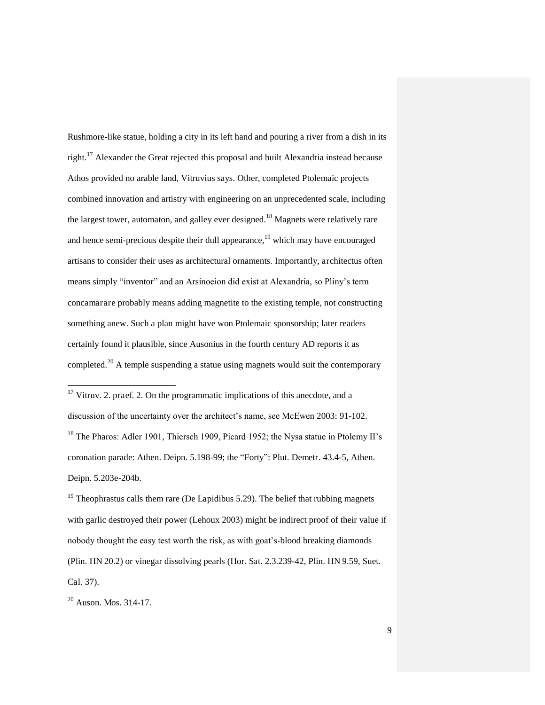Rushmore-like statue, holding a city in its left hand and pouring a river from a dish in its right.<sup>17</sup> Alexander the Great rejected this proposal and built Alexandria instead because Athos provided no arable land, Vitruvius says. Other, completed Ptolemaic projects combined innovation and artistry with engineering on an unprecedented scale, including the largest tower, automaton, and galley ever designed.<sup>18</sup> Magnets were relatively rare and hence semi-precious despite their dull appearance, $19$  which may have encouraged artisans to consider their uses as architectural ornaments. Importantly, architectus often means simply "inventor" and an Arsinoeion did exist at Alexandria, so Pliny's term concamarare probably means adding magnetite to the existing temple, not constructing something anew. Such a plan might have won Ptolemaic sponsorship; later readers certainly found it plausible, since Ausonius in the fourth century AD reports it as completed.<sup>20</sup> A temple suspending a statue using magnets would suit the contemporary

 $17$  Vitruv. 2. praef. 2. On the programmatic implications of this anecdote, and a discussion of the uncertainty over the architect's name, see McEwen 2003: 91-102. <sup>18</sup> The Pharos: Adler 1901, Thiersch 1909, Picard 1952; the Nysa statue in Ptolemy II's coronation parade: Athen. Deipn. 5.198-99; the "Forty": Plut. Demetr. 43.4-5, Athen. Deipn. 5.203e-204b.

 $19$  Theophrastus calls them rare (De Lapidibus 5.29). The belief that rubbing magnets with garlic destroyed their power (Lehoux 2003) might be indirect proof of their value if nobody thought the easy test worth the risk, as with goat's-blood breaking diamonds (Plin. HN 20.2) or vinegar dissolving pearls (Hor. Sat. 2.3.239-42, Plin. HN 9.59, Suet. Cal. 37).

<sup>20</sup> Auson. Mos. 314-17.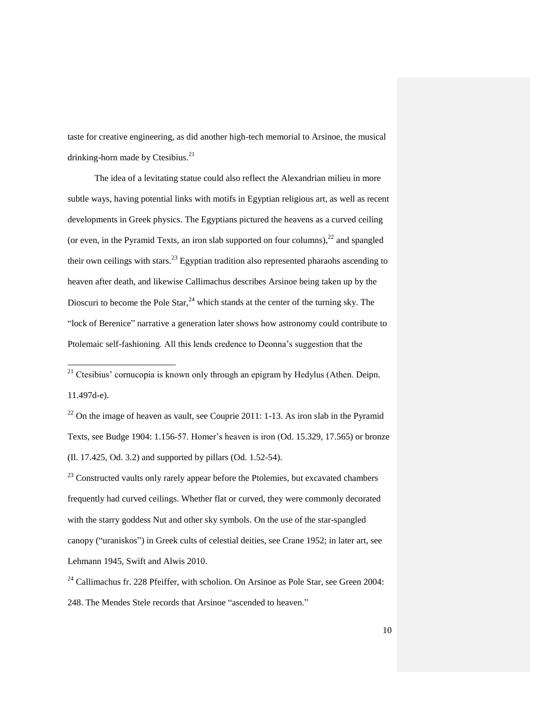taste for creative engineering, as did another high-tech memorial to Arsinoe, the musical drinking-horn made by Ctesibius.<sup>21</sup>

The idea of a levitating statue could also reflect the Alexandrian milieu in more subtle ways, having potential links with motifs in Egyptian religious art, as well as recent developments in Greek physics. The Egyptians pictured the heavens as a curved ceiling (or even, in the Pyramid Texts, an iron slab supported on four columns),  $22$  and spangled their own ceilings with stars.<sup>23</sup> Egyptian tradition also represented pharaohs ascending to heaven after death, and likewise Callimachus describes Arsinoe being taken up by the Dioscuri to become the Pole Star,  $^{24}$  which stands at the center of the turning sky. The "lock of Berenice" narrative a generation later shows how astronomy could contribute to Ptolemaic self-fashioning. All this lends credence to Deonna's suggestion that the

<sup>21</sup> Ctesibius' cornucopia is known only through an epigram by Hedylus (Athen. Deipn. 11.497d-e).

-

 $22$  On the image of heaven as vault, see Couprie 2011: 1-13. As iron slab in the Pyramid Texts, see Budge 1904: 1.156-57. Homer's heaven is iron (Od. 15.329, 17.565) or bronze (Il. 17.425, Od. 3.2) and supported by pillars (Od. 1.52-54).

<sup>23</sup> Constructed vaults only rarely appear before the Ptolemies, but excavated chambers frequently had curved ceilings. Whether flat or curved, they were commonly decorated with the starry goddess Nut and other sky symbols. On the use of the star-spangled canopy ("uraniskos") in Greek cults of celestial deities, see Crane 1952; in later art, see Lehmann 1945, Swift and Alwis 2010.

 $24$  Callimachus fr. 228 Pfeiffer, with scholion. On Arsinoe as Pole Star, see Green 2004: 248. The Mendes Stele records that Arsinoe "ascended to heaven."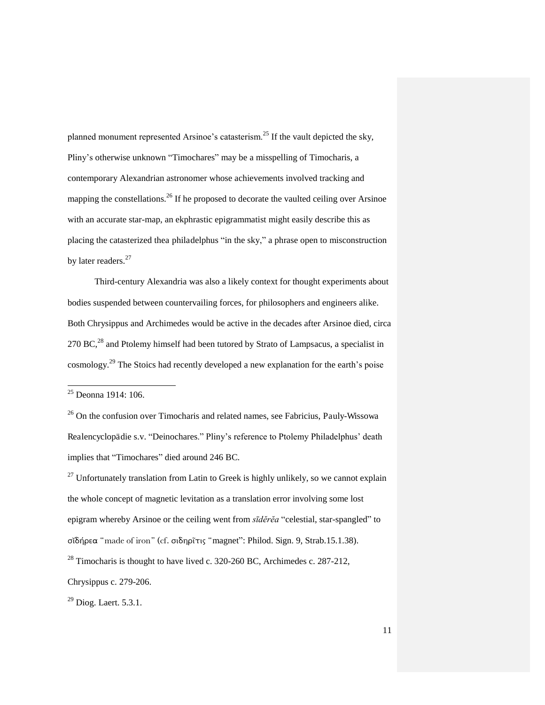planned monument represented Arsinoe's catasterism.<sup>25</sup> If the vault depicted the sky, Pliny's otherwise unknown "Timochares" may be a misspelling of Timocharis, a contemporary Alexandrian astronomer whose achievements involved tracking and mapping the constellations.<sup>26</sup> If he proposed to decorate the vaulted ceiling over Arsinoe with an accurate star-map, an ekphrastic epigrammatist might easily describe this as placing the catasterized thea philadelphus "in the sky," a phrase open to misconstruction by later readers.<sup>27</sup>

Third-century Alexandria was also a likely context for thought experiments about bodies suspended between countervailing forces, for philosophers and engineers alike. Both Chrysippus and Archimedes would be active in the decades after Arsinoe died, circa  $270$  BC,<sup>28</sup> and Ptolemy himself had been tutored by Strato of Lampsacus, a specialist in cosmology.<sup>29</sup> The Stoics had recently developed a new explanation for the earth's poise

-

 $27$  Unfortunately translation from Latin to Greek is highly unlikely, so we cannot explain the whole concept of magnetic levitation as a translation error involving some lost epigram whereby Arsinoe or the ceiling went from *sīděrěa* "celestial, star-spangled" to  $\sigma$ ιδήρεα "made of iron" (cf.  $\sigma$ ιδηρῖτις "magnet": Philod. Sign. 9, Strab.15.1.38).  $^{28}$  Timocharis is thought to have lived c. 320-260 BC, Archimedes c. 287-212,

<sup>&</sup>lt;sup>25</sup> Deonna 1914: 106.

<sup>&</sup>lt;sup>26</sup> On the confusion over Timocharis and related names, see Fabricius, Pauly-Wissowa Realencyclopädie s.v. "Deinochares." Pliny's reference to Ptolemy Philadelphus' death implies that "Timochares" died around 246 BC.

Chrysippus c. 279-206.

<sup>&</sup>lt;sup>29</sup> Diog. Laert. 5.3.1.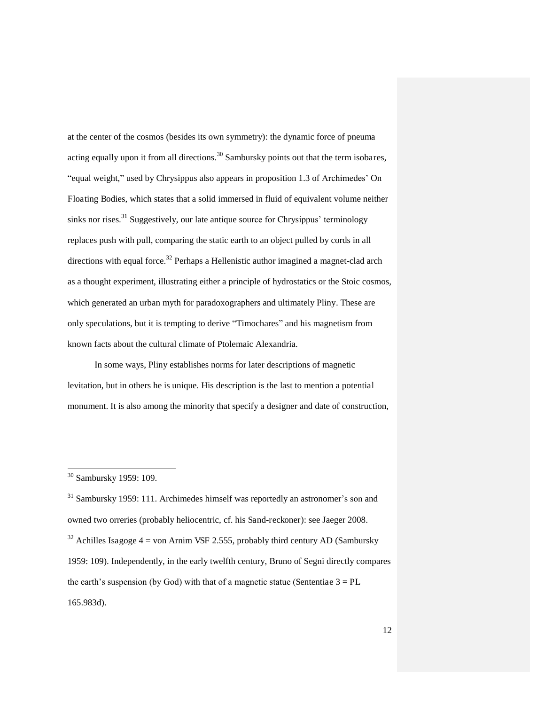at the center of the cosmos (besides its own symmetry): the dynamic force of pneuma acting equally upon it from all directions.<sup>30</sup> Sambursky points out that the term isobares, "equal weight," used by Chrysippus also appears in proposition 1.3 of Archimedes' On Floating Bodies, which states that a solid immersed in fluid of equivalent volume neither sinks nor rises.<sup>31</sup> Suggestively, our late antique source for Chrysippus' terminology replaces push with pull, comparing the static earth to an object pulled by cords in all directions with equal force.<sup>32</sup> Perhaps a Hellenistic author imagined a magnet-clad arch as a thought experiment, illustrating either a principle of hydrostatics or the Stoic cosmos, which generated an urban myth for paradoxographers and ultimately Pliny. These are only speculations, but it is tempting to derive "Timochares" and his magnetism from known facts about the cultural climate of Ptolemaic Alexandria.

In some ways, Pliny establishes norms for later descriptions of magnetic levitation, but in others he is unique. His description is the last to mention a potential monument. It is also among the minority that specify a designer and date of construction,

<sup>30</sup> Sambursky 1959: 109.

<sup>&</sup>lt;sup>31</sup> Sambursky 1959: 111. Archimedes himself was reportedly an astronomer's son and owned two orreries (probably heliocentric, cf. his Sand-reckoner): see Jaeger 2008.  $32$  Achilles Isagoge 4 = von Arnim VSF 2.555, probably third century AD (Sambursky) 1959: 109). Independently, in the early twelfth century, Bruno of Segni directly compares the earth's suspension (by God) with that of a magnetic statue (Sententiae  $3 = PL$ 165.983d).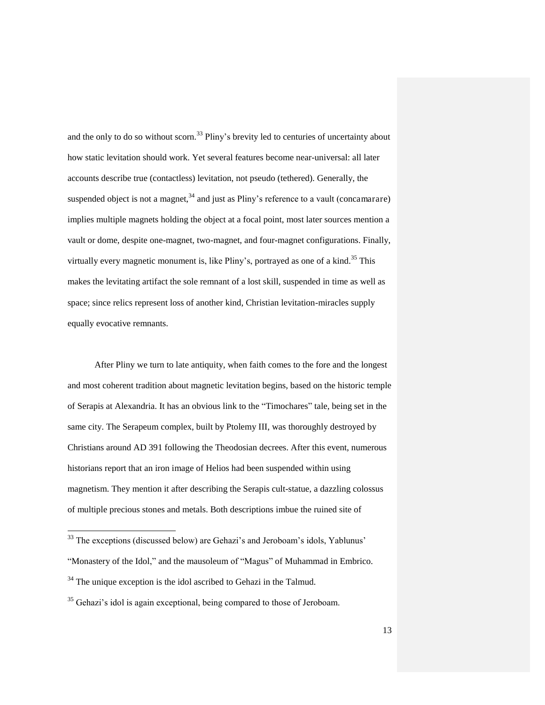and the only to do so without scorn.<sup>33</sup> Pliny's brevity led to centuries of uncertainty about how static levitation should work. Yet several features become near-universal: all later accounts describe true (contactless) levitation, not pseudo (tethered). Generally, the suspended object is not a magnet,  $34$  and just as Pliny's reference to a vault (concamarare) implies multiple magnets holding the object at a focal point, most later sources mention a vault or dome, despite one-magnet, two-magnet, and four-magnet configurations. Finally, virtually every magnetic monument is, like  $P\text{liny's}$ , portrayed as one of a kind.<sup>35</sup> This makes the levitating artifact the sole remnant of a lost skill, suspended in time as well as space; since relics represent loss of another kind, Christian levitation-miracles supply equally evocative remnants.

After Pliny we turn to late antiquity, when faith comes to the fore and the longest and most coherent tradition about magnetic levitation begins, based on the historic temple of Serapis at Alexandria. It has an obvious link to the "Timochares" tale, being set in the same city. The Serapeum complex, built by Ptolemy III, was thoroughly destroyed by Christians around AD 391 following the Theodosian decrees. After this event, numerous historians report that an iron image of Helios had been suspended within using magnetism. They mention it after describing the Serapis cult-statue, a dazzling colossus of multiple precious stones and metals. Both descriptions imbue the ruined site of

 $33$  The exceptions (discussed below) are Gehazi's and Jeroboam's idols, Yablunus'

<sup>&</sup>quot;Monastery of the Idol," and the mausoleum of "Magus" of Muhammad in Embrico.

<sup>&</sup>lt;sup>34</sup> The unique exception is the idol ascribed to Gehazi in the Talmud.

<sup>&</sup>lt;sup>35</sup> Gehazi's idol is again exceptional, being compared to those of Jeroboam.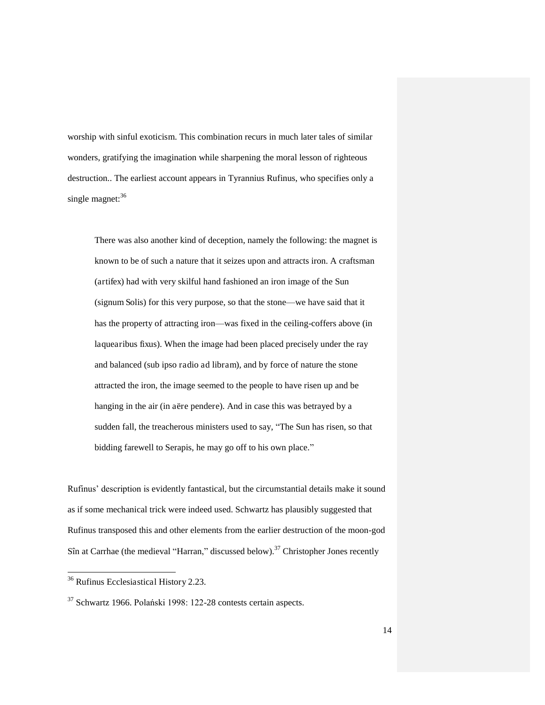worship with sinful exoticism. This combination recurs in much later tales of similar wonders, gratifying the imagination while sharpening the moral lesson of righteous destruction.. The earliest account appears in Tyrannius Rufinus, who specifies only a single magnet:<sup>36</sup>

There was also another kind of deception, namely the following: the magnet is known to be of such a nature that it seizes upon and attracts iron. A craftsman (artifex) had with very skilful hand fashioned an iron image of the Sun (signum Solis) for this very purpose, so that the stone—we have said that it has the property of attracting iron—was fixed in the ceiling-coffers above (in laquearibus fixus). When the image had been placed precisely under the ray and balanced (sub ipso radio ad libram), and by force of nature the stone attracted the iron, the image seemed to the people to have risen up and be hanging in the air (in aëre pendere). And in case this was betrayed by a sudden fall, the treacherous ministers used to say, "The Sun has risen, so that bidding farewell to Serapis, he may go off to his own place."

Rufinus' description is evidently fantastical, but the circumstantial details make it sound as if some mechanical trick were indeed used. Schwartz has plausibly suggested that Rufinus transposed this and other elements from the earlier destruction of the moon-god Sîn at Carrhae (the medieval "Harran," discussed below).<sup>37</sup> Christopher Jones recently

l

<sup>&</sup>lt;sup>36</sup> Rufinus Ecclesiastical History 2.23.

 $37$  Schwartz 1966. Polański 1998: 122-28 contests certain aspects.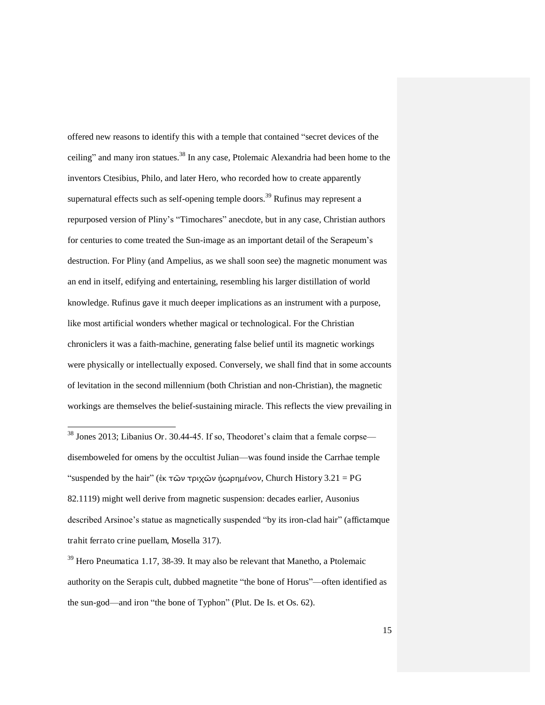offered new reasons to identify this with a temple that contained "secret devices of the ceiling" and many iron statues.<sup>38</sup> In any case, Ptolemaic Alexandria had been home to the inventors Ctesibius, Philo, and later Hero, who recorded how to create apparently supernatural effects such as self-opening temple doors.<sup>39</sup> Rufinus may represent a repurposed version of Pliny's "Timochares" anecdote, but in any case, Christian authors for centuries to come treated the Sun-image as an important detail of the Serapeum's destruction. For Pliny (and Ampelius, as we shall soon see) the magnetic monument was an end in itself, edifying and entertaining, resembling his larger distillation of world knowledge. Rufinus gave it much deeper implications as an instrument with a purpose, like most artificial wonders whether magical or technological. For the Christian chroniclers it was a faith-machine, generating false belief until its magnetic workings were physically or intellectually exposed. Conversely, we shall find that in some accounts of levitation in the second millennium (both Christian and non-Christian), the magnetic workings are themselves the belief-sustaining miracle. This reflects the view prevailing in

 $38$  Jones 2013; Libanius Or. 30.44-45. If so, Theodoret's claim that a female corpse disemboweled for omens by the occultist Julian—was found inside the Carrhae temple "suspended by the hair" (ἐκ τῶν τριχῶν ἠωρημένον, Church History 3.21 = PG 82.1119) might well derive from magnetic suspension: decades earlier, Ausonius described Arsinoe's statue as magnetically suspended "by its iron-clad hair" (affictamque trahit ferrato crine puellam, Mosella 317).

-

<sup>39</sup> Hero Pneumatica 1.17, 38-39. It may also be relevant that Manetho, a Ptolemaic authority on the Serapis cult, dubbed magnetite "the bone of Horus"—often identified as the sun-god—and iron "the bone of Typhon" (Plut. De Is. et Os. 62).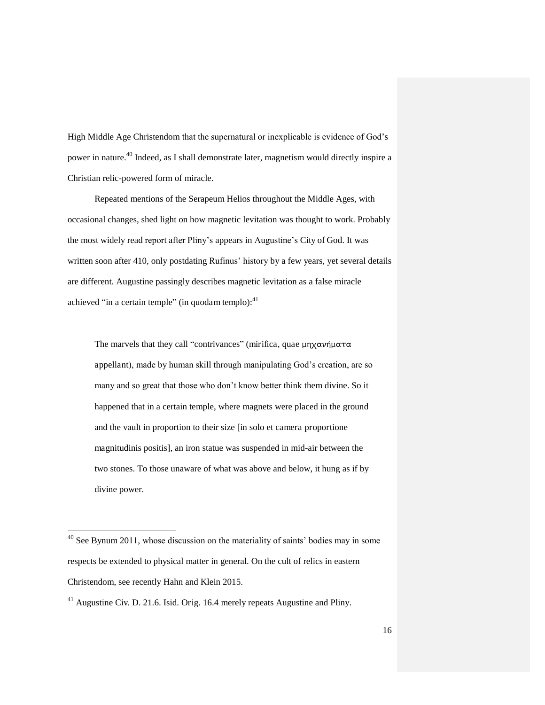High Middle Age Christendom that the supernatural or inexplicable is evidence of God's power in nature.<sup>40</sup> Indeed, as I shall demonstrate later, magnetism would directly inspire a Christian relic-powered form of miracle.

Repeated mentions of the Serapeum Helios throughout the Middle Ages, with occasional changes, shed light on how magnetic levitation was thought to work. Probably the most widely read report after Pliny's appears in Augustine's City of God. It was written soon after 410, only postdating Rufinus' history by a few years, yet several details are different. Augustine passingly describes magnetic levitation as a false miracle achieved "in a certain temple" (in quodam templo): $41$ 

The marvels that they call "contrivances" (mirifica, quae  $\mu$ ηχανήματα appellant), made by human skill through manipulating God's creation, are so many and so great that those who don't know better think them divine. So it happened that in a certain temple, where magnets were placed in the ground and the vault in proportion to their size [in solo et camera proportione magnitudinis positis], an iron statue was suspended in mid-air between the two stones. To those unaware of what was above and below, it hung as if by divine power.

 $40$  See Bynum 2011, whose discussion on the materiality of saints' bodies may in some respects be extended to physical matter in general. On the cult of relics in eastern Christendom, see recently Hahn and Klein 2015.

<sup>&</sup>lt;sup>41</sup> Augustine Civ. D. 21.6. Isid. Orig. 16.4 merely repeats Augustine and Pliny.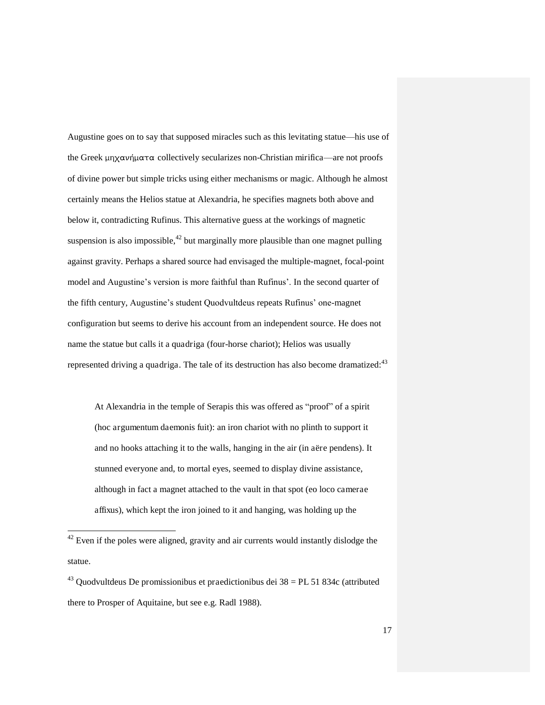Augustine goes on to say that supposed miracles such as this levitating statue—his use of the Greek  $\mu$ ηχανήματα collectively secularizes non-Christian mirifica—are not proofs of divine power but simple tricks using either mechanisms or magic. Although he almost certainly means the Helios statue at Alexandria, he specifies magnets both above and below it, contradicting Rufinus. This alternative guess at the workings of magnetic suspension is also impossible, $^{42}$  but marginally more plausible than one magnet pulling against gravity. Perhaps a shared source had envisaged the multiple-magnet, focal-point model and Augustine's version is more faithful than Rufinus'. In the second quarter of the fifth century, Augustine's student Quodvultdeus repeats Rufinus' one-magnet configuration but seems to derive his account from an independent source. He does not name the statue but calls it a quadriga (four-horse chariot); Helios was usually represented driving a quadriga. The tale of its destruction has also become dramatized: $43$ 

At Alexandria in the temple of Serapis this was offered as "proof" of a spirit (hoc argumentum daemonis fuit): an iron chariot with no plinth to support it and no hooks attaching it to the walls, hanging in the air (in aëre pendens). It stunned everyone and, to mortal eyes, seemed to display divine assistance, although in fact a magnet attached to the vault in that spot (eo loco camerae affixus), which kept the iron joined to it and hanging, was holding up the

 $42$  Even if the poles were aligned, gravity and air currents would instantly dislodge the statue.

 $43$  Quodvultdeus De promissionibus et praedictionibus dei  $38 = PL 51 834c$  (attributed there to Prosper of Aquitaine, but see e.g. Radl 1988).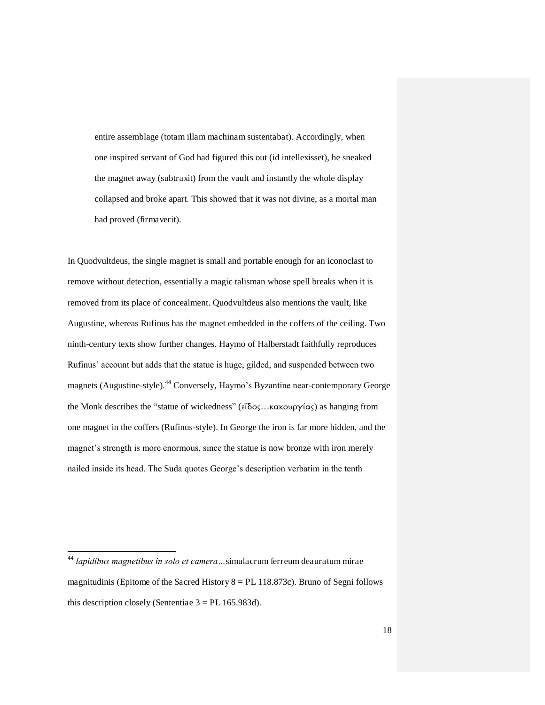entire assemblage (totam illam machinam sustentabat). Accordingly, when one inspired servant of God had figured this out (id intellexisset), he sneaked the magnet away (subtraxit) from the vault and instantly the whole display collapsed and broke apart. This showed that it was not divine, as a mortal man had proved (firmaverit).

In Quodvultdeus, the single magnet is small and portable enough for an iconoclast to remove without detection, essentially a magic talisman whose spell breaks when it is removed from its place of concealment. Quodvultdeus also mentions the vault, like Augustine, whereas Rufinus has the magnet embedded in the coffers of the ceiling. Two ninth-century texts show further changes. Haymo of Halberstadt faithfully reproduces Rufinus' account but adds that the statue is huge, gilded, and suspended between two magnets (Augustine-style).<sup>44</sup> Conversely, Haymo's Byzantine near-contemporary George the Monk describes the "statue of wickedness" ( $\epsilon\tilde{\delta}$ δος...κακουργίας) as hanging from one magnet in the coffers (Rufinus-style). In George the iron is far more hidden, and the magnet's strength is more enormous, since the statue is now bronze with iron merely nailed inside its head. The Suda quotes George's description verbatim in the tenth

<sup>44</sup> *lapidibus magnetibus in solo et camera…*simulacrum ferreum deauratum mirae magnitudinis (Epitome of the Sacred History  $8 = PL$  118.873c). Bruno of Segni follows this description closely (Sententiae  $3 = PL$  165.983d).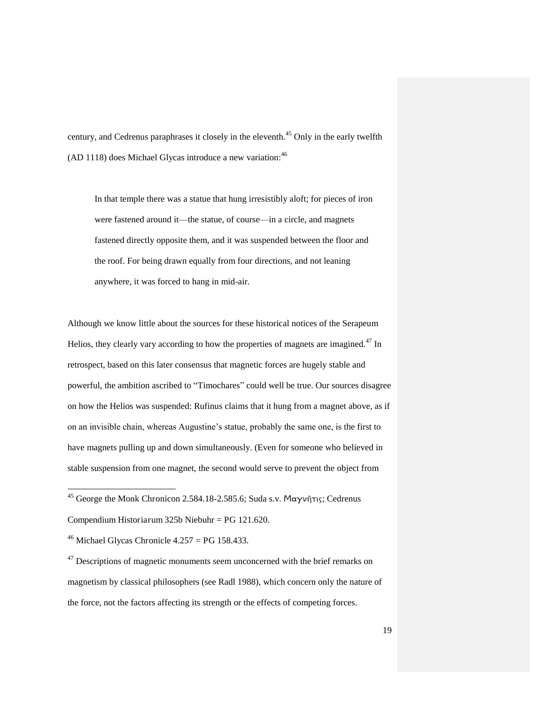century, and Cedrenus paraphrases it closely in the eleventh.<sup>45</sup> Only in the early twelfth  $(AD 1118)$  does Michael Glycas introduce a new variation:  $46$ 

In that temple there was a statue that hung irresistibly aloft; for pieces of iron were fastened around it—the statue, of course—in a circle, and magnets fastened directly opposite them, and it was suspended between the floor and the roof. For being drawn equally from four directions, and not leaning anywhere, it was forced to hang in mid-air.

Although we know little about the sources for these historical notices of the Serapeum Helios, they clearly vary according to how the properties of magnets are imagined.<sup>47</sup> In retrospect, based on this later consensus that magnetic forces are hugely stable and powerful, the ambition ascribed to "Timochares" could well be true. Our sources disagree on how the Helios was suspended: Rufinus claims that it hung from a magnet above, as if on an invisible chain, whereas Augustine's statue, probably the same one, is the first to have magnets pulling up and down simultaneously. (Even for someone who believed in stable suspension from one magnet, the second would serve to prevent the object from

<sup>&</sup>lt;sup>45</sup> George the Monk Chronicon 2.584.18-2.585.6; Suda s.v. Μαγνῆτις; Cedrenus Compendium Historiarum 325b Niebuhr = PG 121.620.

<sup>&</sup>lt;sup>46</sup> Michael Glycas Chronicle  $4.257 = PG$  158.433.

 $47$  Descriptions of magnetic monuments seem unconcerned with the brief remarks on magnetism by classical philosophers (see Radl 1988), which concern only the nature of the force, not the factors affecting its strength or the effects of competing forces.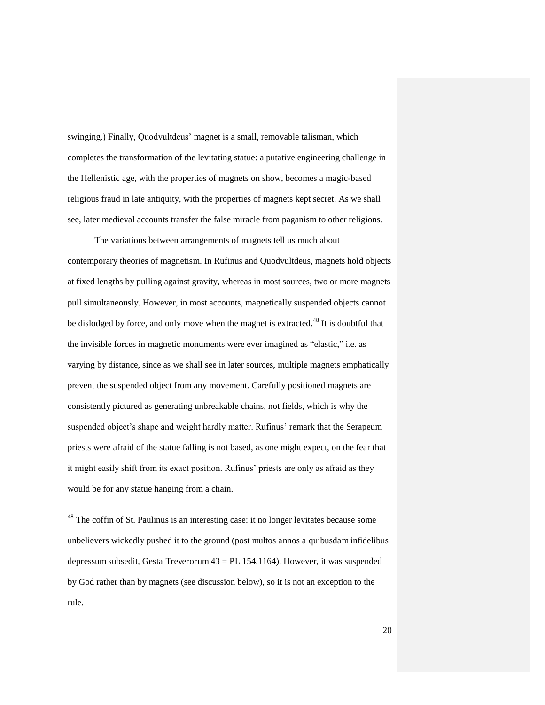swinging.) Finally, Quodvultdeus' magnet is a small, removable talisman, which completes the transformation of the levitating statue: a putative engineering challenge in the Hellenistic age, with the properties of magnets on show, becomes a magic-based religious fraud in late antiquity, with the properties of magnets kept secret. As we shall see, later medieval accounts transfer the false miracle from paganism to other religions.

The variations between arrangements of magnets tell us much about contemporary theories of magnetism. In Rufinus and Quodvultdeus, magnets hold objects at fixed lengths by pulling against gravity, whereas in most sources, two or more magnets pull simultaneously. However, in most accounts, magnetically suspended objects cannot be dislodged by force, and only move when the magnet is extracted.<sup>48</sup> It is doubtful that the invisible forces in magnetic monuments were ever imagined as "elastic," i.e. as varying by distance, since as we shall see in later sources, multiple magnets emphatically prevent the suspended object from any movement. Carefully positioned magnets are consistently pictured as generating unbreakable chains, not fields, which is why the suspended object's shape and weight hardly matter. Rufinus' remark that the Serapeum priests were afraid of the statue falling is not based, as one might expect, on the fear that it might easily shift from its exact position. Rufinus' priests are only as afraid as they would be for any statue hanging from a chain.

 $48$  The coffin of St. Paulinus is an interesting case: it no longer levitates because some unbelievers wickedly pushed it to the ground (post multos annos a quibusdam infidelibus depressum subsedit, Gesta Treverorum 43 = PL 154.1164). However, it was suspended by God rather than by magnets (see discussion below), so it is not an exception to the rule.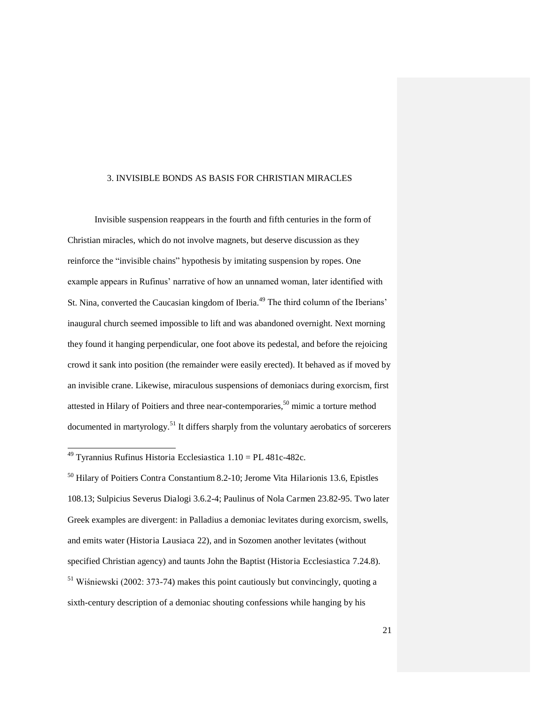#### 3. INVISIBLE BONDS AS BASIS FOR CHRISTIAN MIRACLES

Invisible suspension reappears in the fourth and fifth centuries in the form of Christian miracles, which do not involve magnets, but deserve discussion as they reinforce the "invisible chains" hypothesis by imitating suspension by ropes. One example appears in Rufinus' narrative of how an unnamed woman, later identified with St. Nina, converted the Caucasian kingdom of Iberia.<sup>49</sup> The third column of the Iberians' inaugural church seemed impossible to lift and was abandoned overnight. Next morning they found it hanging perpendicular, one foot above its pedestal, and before the rejoicing crowd it sank into position (the remainder were easily erected). It behaved as if moved by an invisible crane. Likewise, miraculous suspensions of demoniacs during exorcism, first attested in Hilary of Poitiers and three near-contemporaries, $50$  mimic a torture method documented in martyrology.<sup>51</sup> It differs sharply from the voluntary aerobatics of sorcerers

<sup>&</sup>lt;sup>49</sup> Tyrannius Rufinus Historia Ecclesiastica  $1.10 = PL481c-482c$ .

<sup>&</sup>lt;sup>50</sup> Hilary of Poitiers Contra Constantium 8.2-10; Jerome Vita Hilarionis 13.6, Epistles 108.13; Sulpicius Severus Dialogi 3.6.2-4; Paulinus of Nola Carmen 23.82-95. Two later Greek examples are divergent: in Palladius a demoniac levitates during exorcism, swells, and emits water (Historia Lausiaca 22), and in Sozomen another levitates (without specified Christian agency) and taunts John the Baptist (Historia Ecclesiastica 7.24.8).  $51$  Wiśniewski (2002: 373-74) makes this point cautiously but convincingly, quoting a sixth-century description of a demoniac shouting confessions while hanging by his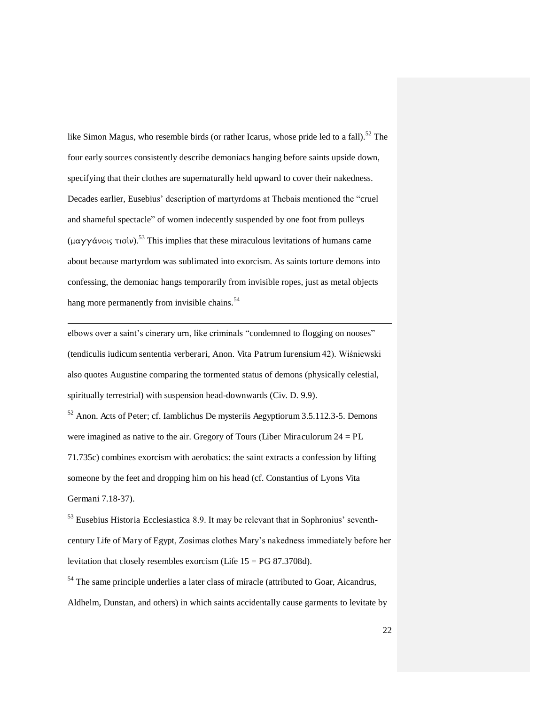like Simon Magus, who resemble birds (or rather Icarus, whose pride led to a fall).<sup>52</sup> The four early sources consistently describe demoniacs hanging before saints upside down, specifying that their clothes are supernaturally held upward to cover their nakedness. Decades earlier, Eusebius' description of martyrdoms at Thebais mentioned the "cruel and shameful spectacle" of women indecently suspended by one foot from pulleys (μαγγάνοις τισίν).<sup>53</sup> This implies that these miraculous levitations of humans came about because martyrdom was sublimated into exorcism. As saints torture demons into confessing, the demoniac hangs temporarily from invisible ropes, just as metal objects hang more permanently from invisible chains.<sup>54</sup>

elbows over a saint's cinerary urn, like criminals "condemned to flogging on nooses" (tendiculis iudicum sententia verberari, Anon. Vita Patrum Iurensium 42). Wiśniewski also quotes Augustine comparing the tormented status of demons (physically celestial, spiritually terrestrial) with suspension head-downwards (Civ. D. 9.9).

l

<sup>52</sup> Anon. Acts of Peter; cf. Iamblichus De mysteriis Aegyptiorum 3.5.112.3-5. Demons were imagined as native to the air. Gregory of Tours (Liber Miraculorum 24 = PL 71.735c) combines exorcism with aerobatics: the saint extracts a confession by lifting someone by the feet and dropping him on his head (cf. Constantius of Lyons Vita Germani 7.18-37).

<sup>53</sup> Eusebius Historia Ecclesiastica 8.9. It may be relevant that in Sophronius' seventhcentury Life of Mary of Egypt, Zosimas clothes Mary's nakedness immediately before her levitation that closely resembles exorcism (Life  $15 = PG 87.3708d$ ).

<sup>54</sup> The same principle underlies a later class of miracle (attributed to Goar, Aicandrus, Aldhelm, Dunstan, and others) in which saints accidentally cause garments to levitate by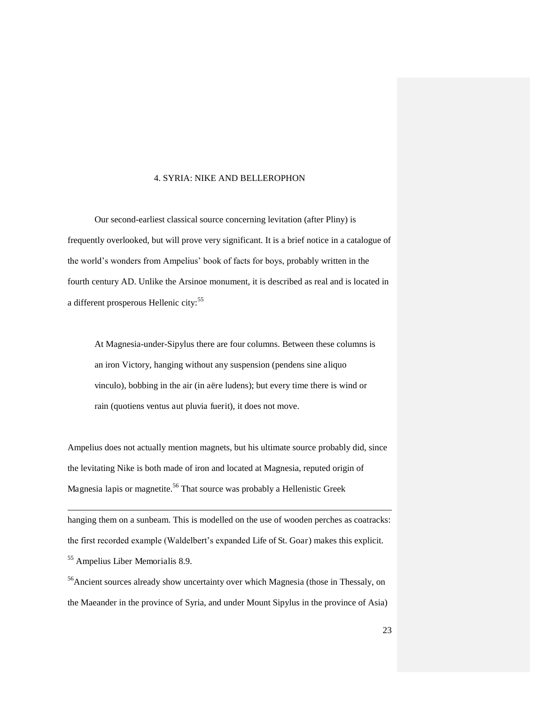#### 4. SYRIA: NIKE AND BELLEROPHON

Our second-earliest classical source concerning levitation (after Pliny) is frequently overlooked, but will prove very significant. It is a brief notice in a catalogue of the world's wonders from Ampelius' book of facts for boys, probably written in the fourth century AD. Unlike the Arsinoe monument, it is described as real and is located in a different prosperous Hellenic city:<sup>55</sup>

At Magnesia-under-Sipylus there are four columns. Between these columns is an iron Victory, hanging without any suspension (pendens sine aliquo vinculo), bobbing in the air (in aëre ludens); but every time there is wind or rain (quotiens ventus aut pluvia fuerit), it does not move.

Ampelius does not actually mention magnets, but his ultimate source probably did, since the levitating Nike is both made of iron and located at Magnesia, reputed origin of Magnesia lapis or magnetite.<sup>56</sup> That source was probably a Hellenistic Greek

-

hanging them on a sunbeam. This is modelled on the use of wooden perches as coatracks: the first recorded example (Waldelbert's expanded Life of St. Goar) makes this explicit. <sup>55</sup> Ampelius Liber Memorialis 8.9.

<sup>56</sup>Ancient sources already show uncertainty over which Magnesia (those in Thessaly, on the Maeander in the province of Syria, and under Mount Sipylus in the province of Asia)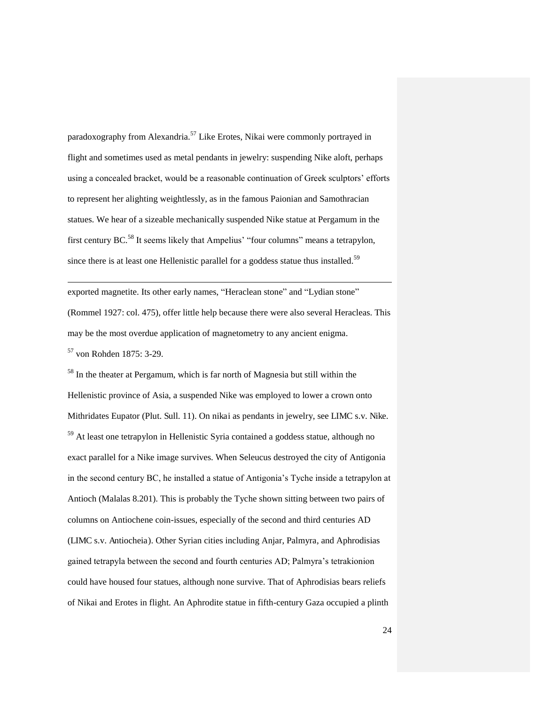paradoxography from Alexandria.<sup>57</sup> Like Erotes, Nikai were commonly portrayed in flight and sometimes used as metal pendants in jewelry: suspending Nike aloft, perhaps using a concealed bracket, would be a reasonable continuation of Greek sculptors' efforts to represent her alighting weightlessly, as in the famous Paionian and Samothracian statues. We hear of a sizeable mechanically suspended Nike statue at Pergamum in the first century BC.<sup>58</sup> It seems likely that Ampelius' "four columns" means a tetrapylon, since there is at least one Hellenistic parallel for a goddess statue thus installed.<sup>59</sup>

exported magnetite. Its other early names, "Heraclean stone" and "Lydian stone" (Rommel 1927: col. 475), offer little help because there were also several Heracleas. This may be the most overdue application of magnetometry to any ancient enigma.

<sup>57</sup> von Rohden 1875: 3-29.

-

<sup>58</sup> In the theater at Pergamum, which is far north of Magnesia but still within the Hellenistic province of Asia, a suspended Nike was employed to lower a crown onto Mithridates Eupator (Plut. Sull. 11). On nikai as pendants in jewelry, see LIMC s.v. Nike. <sup>59</sup> At least one tetrapylon in Hellenistic Syria contained a goddess statue, although no exact parallel for a Nike image survives. When Seleucus destroyed the city of Antigonia in the second century BC, he installed a statue of Antigonia's Tyche inside a tetrapylon at Antioch (Malalas 8.201). This is probably the Tyche shown sitting between two pairs of columns on Antiochene coin-issues, especially of the second and third centuries AD (LIMC s.v. Antiocheia). Other Syrian cities including Anjar, Palmyra, and Aphrodisias gained tetrapyla between the second and fourth centuries AD; Palmyra's tetrakionion could have housed four statues, although none survive. That of Aphrodisias bears reliefs of Nikai and Erotes in flight. An Aphrodite statue in fifth-century Gaza occupied a plinth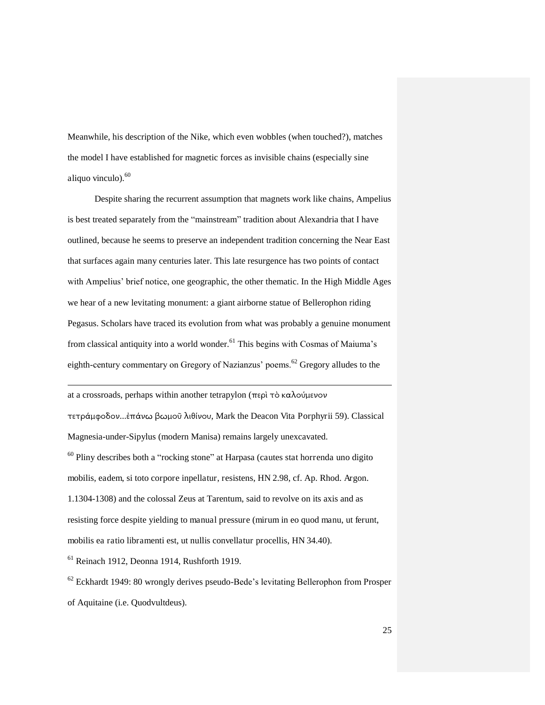Meanwhile, his description of the Nike, which even wobbles (when touched?), matches the model I have established for magnetic forces as invisible chains (especially sine aliquo vinculo). $60$ 

Despite sharing the recurrent assumption that magnets work like chains, Ampelius is best treated separately from the "mainstream" tradition about Alexandria that I have outlined, because he seems to preserve an independent tradition concerning the Near East that surfaces again many centuries later. This late resurgence has two points of contact with Ampelius' brief notice, one geographic, the other thematic. In the High Middle Ages we hear of a new levitating monument: a giant airborne statue of Bellerophon riding Pegasus. Scholars have traced its evolution from what was probably a genuine monument from classical antiquity into a world wonder.<sup>61</sup> This begins with Cosmas of Maiuma's eighth-century commentary on Gregory of Nazianzus' poems.<sup>62</sup> Gregory alludes to the

at a crossroads, perhaps within another tetrapylon (περὶ τὸ καλούμενον τετράμφοδον...ἐπάνω βωμοῦ λιθίνου, Mark the Deacon Vita Porphyrii 59). Classical Magnesia-under-Sipylus (modern Manisa) remains largely unexcavated. <sup>60</sup> Pliny describes both a "rocking stone" at Harpasa (cautes stat horrenda uno digito mobilis, eadem, si toto corpore inpellatur, resistens, HN 2.98, cf. Ap. Rhod. Argon. 1.1304-1308) and the colossal Zeus at Tarentum, said to revolve on its axis and as resisting force despite yielding to manual pressure (mirum in eo quod manu, ut ferunt, mobilis ea ratio libramenti est, ut nullis convellatur procellis, HN 34.40).

 $<sup>61</sup>$  Reinach 1912, Deonna 1914, Rushforth 1919.</sup>

-

 $62$  Eckhardt 1949: 80 wrongly derives pseudo-Bede's levitating Bellerophon from Prosper of Aquitaine (i.e. Quodvultdeus).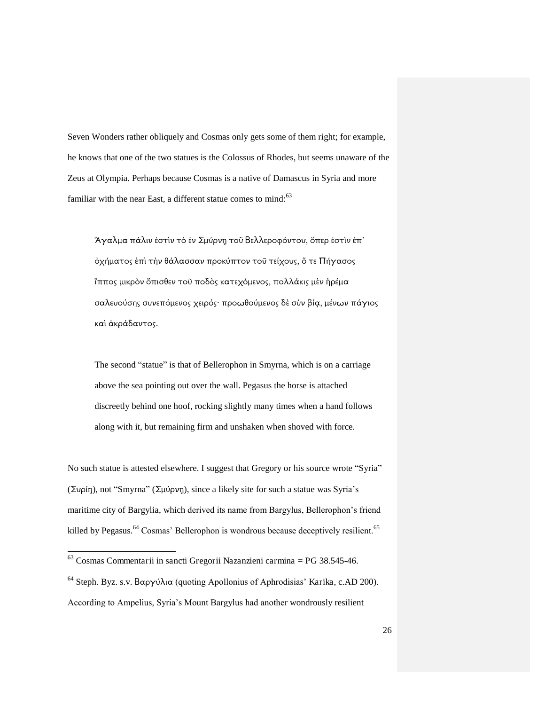Seven Wonders rather obliquely and Cosmas only gets some of them right; for example, he knows that one of the two statues is the Colossus of Rhodes, but seems unaware of the Zeus at Olympia. Perhaps because Cosmas is a native of Damascus in Syria and more familiar with the near East, a different statue comes to mind: $63$ 

"Άγαλμα πάλιν ἐστὶν τὸ ἐν Σμύρνη τοῦ Βελλεροφόντου, ὅπερ ἐστὶν ἐπ όχήματος ἐπὶ τὴν θάλασσαν προκύπτον τοῦ τείχους, ὅ τε Πήγασος ἵππος μικρὸν ὄπισθεν τοῦ ποδὸς κατεχόμενος, πολλάκις μὲν ἠρέμα σαλευούσης συνεπόμενος χειρός· προωθούμενος δὲ σὺν βία, μένων πάγιος καὶ ἀκράδαντος.

The second "statue" is that of Bellerophon in Smyrna, which is on a carriage above the sea pointing out over the wall. Pegasus the horse is attached discreetly behind one hoof, rocking slightly many times when a hand follows along with it, but remaining firm and unshaken when shoved with force.

No such statue is attested elsewhere. I suggest that Gregory or his source wrote "Syria" (Συρίη), not "Smyrna" (Σμύρνη), since a likely site for such a statue was Syria's maritime city of Bargylia, which derived its name from Bargylus, Bellerophon's friend killed by Pegasus.<sup>64</sup> Cosmas' Bellerophon is wondrous because deceptively resilient.<sup>65</sup>

l

 $63$  Cosmas Commentarii in sancti Gregorii Nazanzieni carmina = PG 38.545-46.

 $64$  Steph. Byz. s.v. Βαργύλια (quoting Apollonius of Aphrodisias' Karika, c.AD 200). According to Ampelius, Syria's Mount Bargylus had another wondrously resilient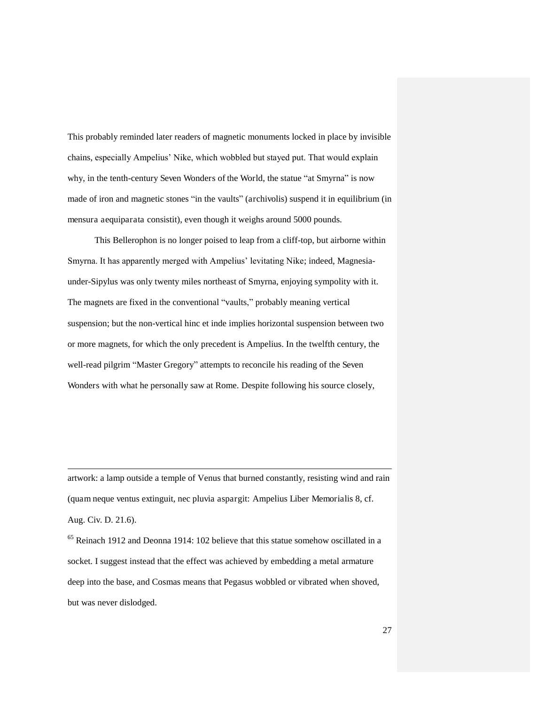This probably reminded later readers of magnetic monuments locked in place by invisible chains, especially Ampelius' Nike, which wobbled but stayed put. That would explain why, in the tenth-century Seven Wonders of the World, the statue "at Smyrna" is now made of iron and magnetic stones "in the vaults" (archivolis) suspend it in equilibrium (in mensura aequiparata consistit), even though it weighs around 5000 pounds.

 This Bellerophon is no longer poised to leap from a cliff-top, but airborne within Smyrna. It has apparently merged with Ampelius' levitating Nike; indeed, Magnesiaunder-Sipylus was only twenty miles northeast of Smyrna, enjoying sympolity with it. The magnets are fixed in the conventional "vaults," probably meaning vertical suspension; but the non-vertical hinc et inde implies horizontal suspension between two or more magnets, for which the only precedent is Ampelius. In the twelfth century, the well-read pilgrim "Master Gregory" attempts to reconcile his reading of the Seven Wonders with what he personally saw at Rome. Despite following his source closely,

artwork: a lamp outside a temple of Venus that burned constantly, resisting wind and rain (quam neque ventus extinguit, nec pluvia aspargit: Ampelius Liber Memorialis 8, cf. Aug. Civ. D. 21.6).

-

<sup>65</sup> Reinach 1912 and Deonna 1914: 102 believe that this statue somehow oscillated in a socket. I suggest instead that the effect was achieved by embedding a metal armature deep into the base, and Cosmas means that Pegasus wobbled or vibrated when shoved, but was never dislodged.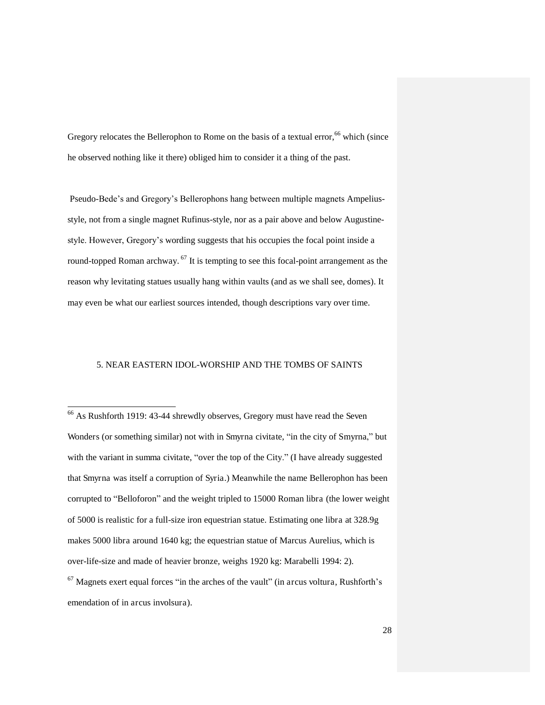Gregory relocates the Bellerophon to Rome on the basis of a textual error,  $66$  which (since he observed nothing like it there) obliged him to consider it a thing of the past.

 Pseudo-Bede's and Gregory's Bellerophons hang between multiple magnets Ampeliusstyle, not from a single magnet Rufinus-style, nor as a pair above and below Augustinestyle. However, Gregory's wording suggests that his occupies the focal point inside a round-topped Roman archway.  $^{67}$  It is tempting to see this focal-point arrangement as the reason why levitating statues usually hang within vaults (and as we shall see, domes). It may even be what our earliest sources intended, though descriptions vary over time.

#### 5. NEAR EASTERN IDOL-WORSHIP AND THE TOMBS OF SAINTS

emendation of in arcus involsura).

<sup>&</sup>lt;sup>66</sup> As Rushforth 1919: 43-44 shrewdly observes, Gregory must have read the Seven Wonders (or something similar) not with in Smyrna civitate, "in the city of Smyrna," but with the variant in summa civitate, "over the top of the City." (I have already suggested that Smyrna was itself a corruption of Syria.) Meanwhile the name Bellerophon has been corrupted to "Belloforon" and the weight tripled to 15000 Roman libra (the lower weight of 5000 is realistic for a full-size iron equestrian statue. Estimating one libra at 328.9g makes 5000 libra around 1640 kg; the equestrian statue of Marcus Aurelius, which is over-life-size and made of heavier bronze, weighs 1920 kg: Marabelli 1994: 2).  $67$  Magnets exert equal forces "in the arches of the vault" (in arcus voltura, Rushforth's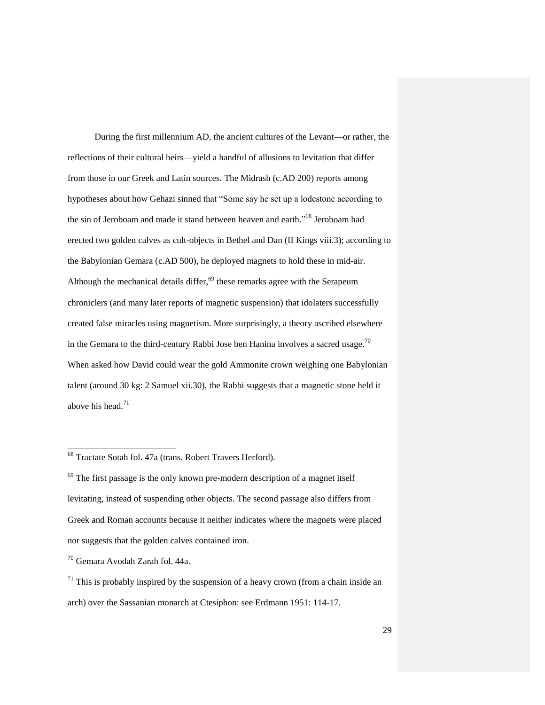During the first millennium AD, the ancient cultures of the Levant—or rather, the reflections of their cultural heirs—yield a handful of allusions to levitation that differ from those in our Greek and Latin sources. The Midrash (c.AD 200) reports among hypotheses about how Gehazi sinned that "Some say he set up a lodestone according to the sin of Jeroboam and made it stand between heaven and earth."<sup>68</sup> Jeroboam had erected two golden calves as cult-objects in Bethel and Dan (II Kings viii.3); according to the Babylonian Gemara (c.AD 500), he deployed magnets to hold these in mid-air. Although the mechanical details differ,<sup>69</sup> these remarks agree with the Serapeum chroniclers (and many later reports of magnetic suspension) that idolaters successfully created false miracles using magnetism. More surprisingly, a theory ascribed elsewhere in the Gemara to the third-century Rabbi Jose ben Hanina involves a sacred usage.<sup>70</sup> When asked how David could wear the gold Ammonite crown weighing one Babylonian talent (around 30 kg: 2 Samuel xii.30), the Rabbi suggests that a magnetic stone held it above his head. $71$ 

<sup>&</sup>lt;sup>68</sup> Tractate Sotah fol. 47a (trans. Robert Travers Herford).

 $69$  The first passage is the only known pre-modern description of a magnet itself levitating, instead of suspending other objects. The second passage also differs from Greek and Roman accounts because it neither indicates where the magnets were placed nor suggests that the golden calves contained iron.

<sup>70</sup> Gemara Avodah Zarah fol. 44a.

 $71$  This is probably inspired by the suspension of a heavy crown (from a chain inside an arch) over the Sassanian monarch at Ctesiphon: see Erdmann 1951: 114-17.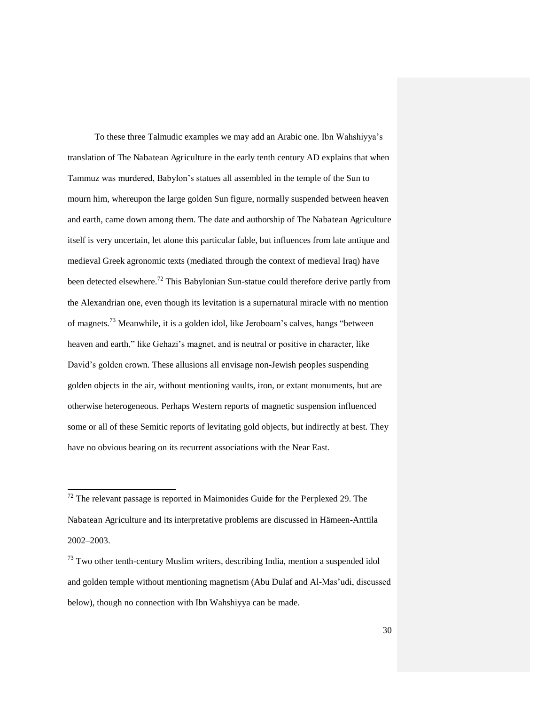To these three Talmudic examples we may add an Arabic one. Ibn Wahshiyya's translation of The Nabatean Agriculture in the early tenth century AD explains that when Tammuz was murdered, Babylon's statues all assembled in the temple of the Sun to mourn him, whereupon the large golden Sun figure, normally suspended between heaven and earth, came down among them. The date and authorship of The Nabatean Agriculture itself is very uncertain, let alone this particular fable, but influences from late antique and medieval Greek agronomic texts (mediated through the context of medieval Iraq) have been detected elsewhere.<sup>72</sup> This Babylonian Sun-statue could therefore derive partly from the Alexandrian one, even though its levitation is a supernatural miracle with no mention of magnets.<sup>73</sup> Meanwhile, it is a golden idol, like Jeroboam's calves, hangs "between heaven and earth," like Gehazi's magnet, and is neutral or positive in character, like David's golden crown. These allusions all envisage non-Jewish peoples suspending golden objects in the air, without mentioning vaults, iron, or extant monuments, but are otherwise heterogeneous. Perhaps Western reports of magnetic suspension influenced some or all of these Semitic reports of levitating gold objects, but indirectly at best. They have no obvious bearing on its recurrent associations with the Near East.

 $72$  The relevant passage is reported in Maimonides Guide for the Perplexed 29. The Nabatean Agriculture and its interpretative problems are discussed in Hämeen-Anttila 2002–2003.

 $<sup>73</sup>$  Two other tenth-century Muslim writers, describing India, mention a suspended idol</sup> and golden temple without mentioning magnetism (Abu Dulaf and Al-Mas'udi, discussed below), though no connection with Ibn Wahshiyya can be made.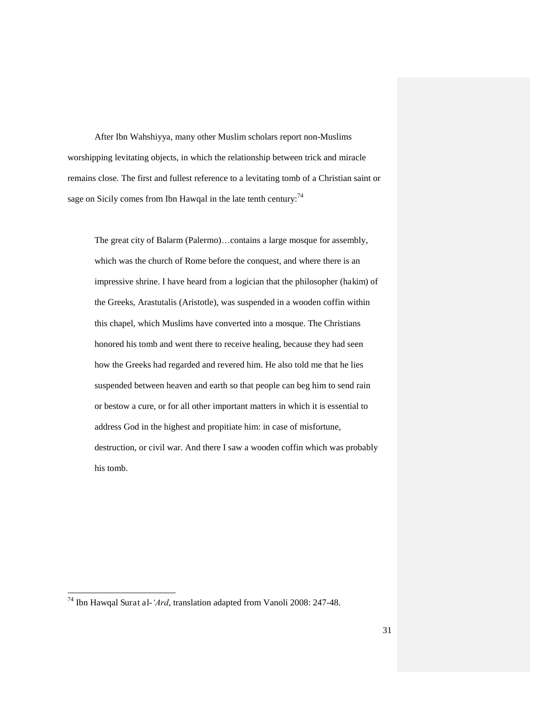After Ibn Wahshiyya, many other Muslim scholars report non-Muslims worshipping levitating objects, in which the relationship between trick and miracle remains close. The first and fullest reference to a levitating tomb of a Christian saint or sage on Sicily comes from Ibn Hawqal in the late tenth century:  $74$ 

The great city of Balarm (Palermo)…contains a large mosque for assembly, which was the church of Rome before the conquest, and where there is an impressive shrine. I have heard from a logician that the philosopher (hakim) of the Greeks, Arastutalis (Aristotle), was suspended in a wooden coffin within this chapel, which Muslims have converted into a mosque. The Christians honored his tomb and went there to receive healing, because they had seen how the Greeks had regarded and revered him. He also told me that he lies suspended between heaven and earth so that people can beg him to send rain or bestow a cure, or for all other important matters in which it is essential to address God in the highest and propitiate him: in case of misfortune, destruction, or civil war. And there I saw a wooden coffin which was probably his tomb.

l

<sup>74</sup> Ibn Hawqal Surat al-*'Ard*, translation adapted from Vanoli 2008: 247-48.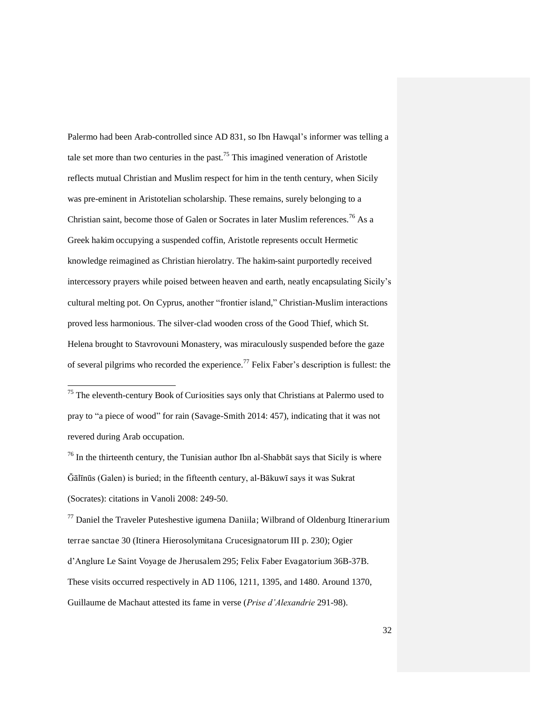Palermo had been Arab-controlled since AD 831, so Ibn Hawqal's informer was telling a tale set more than two centuries in the past.<sup>75</sup> This imagined veneration of Aristotle reflects mutual Christian and Muslim respect for him in the tenth century, when Sicily was pre-eminent in Aristotelian scholarship. These remains, surely belonging to a Christian saint, become those of Galen or Socrates in later Muslim references.<sup>76</sup> As a Greek hakim occupying a suspended coffin, Aristotle represents occult Hermetic knowledge reimagined as Christian hierolatry. The hakim-saint purportedly received intercessory prayers while poised between heaven and earth, neatly encapsulating Sicily's cultural melting pot. On Cyprus, another "frontier island," Christian-Muslim interactions proved less harmonious. The silver-clad wooden cross of the Good Thief, which St. Helena brought to Stavrovouni Monastery, was miraculously suspended before the gaze of several pilgrims who recorded the experience.<sup>77</sup> Felix Faber's description is fullest: the

-

 $^{76}$  In the thirteenth century, the Tunisian author Ibn al-Shabb $\bar{a}t$  says that Sicily is where  $\tilde{G}$ ālīnūs (Galen) is buried; in the fifteenth century, al-Bākuwī says it was Sukrat (Socrates): citations in Vanoli 2008: 249-50.

 $77$  Daniel the Traveler Puteshestive igumena Daniila; Wilbrand of Oldenburg Itinerarium terrae sanctae 30 (Itinera Hierosolymitana Crucesignatorum III p. 230); Ogier d'Anglure Le Saint Voyage de Jherusalem 295; Felix Faber Evagatorium 36B-37B. These visits occurred respectively in AD 1106, 1211, 1395, and 1480. Around 1370, Guillaume de Machaut attested its fame in verse (*Prise d'Alexandrie* 291-98).

 $75$  The eleventh-century Book of Curiosities says only that Christians at Palermo used to pray to "a piece of wood" for rain (Savage-Smith 2014: 457), indicating that it was not revered during Arab occupation.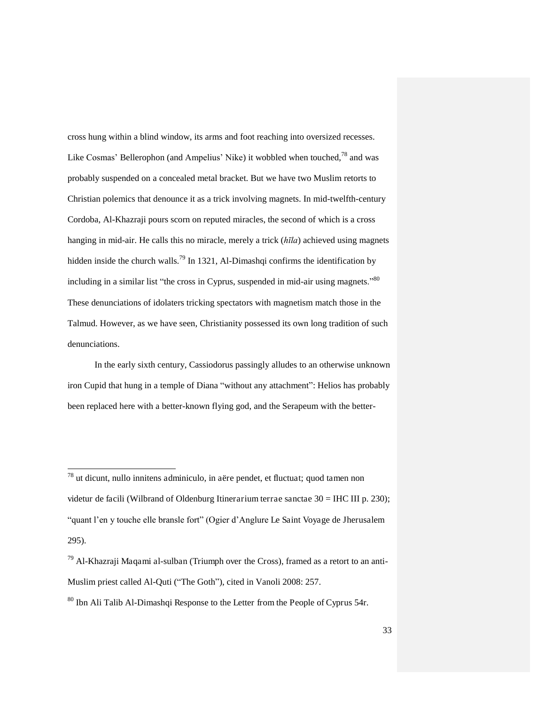cross hung within a blind window, its arms and foot reaching into oversized recesses. Like Cosmas' Bellerophon (and Ampelius' Nike) it wobbled when touched, $^{78}$  and was probably suspended on a concealed metal bracket. But we have two Muslim retorts to Christian polemics that denounce it as a trick involving magnets. In mid-twelfth-century Cordoba, Al-Khazraji pours scorn on reputed miracles, the second of which is a cross hanging in mid-air. He calls this no miracle, merely a trick (*hīla*) achieved using magnets hidden inside the church walls.<sup>79</sup> In 1321, Al-Dimashqi confirms the identification by including in a similar list "the cross in Cyprus, suspended in mid-air using magnets."<sup>80</sup> These denunciations of idolaters tricking spectators with magnetism match those in the Talmud. However, as we have seen, Christianity possessed its own long tradition of such denunciations.

In the early sixth century, Cassiodorus passingly alludes to an otherwise unknown iron Cupid that hung in a temple of Diana "without any attachment": Helios has probably been replaced here with a better-known flying god, and the Serapeum with the better-

<sup>78</sup> ut dicunt, nullo innitens adminiculo, in aëre pendet, et fluctuat; quod tamen non videtur de facili (Wilbrand of Oldenburg Itinerarium terrae sanctae 30 = IHC III p. 230); "quant l'en y touche elle bransle fort" (Ogier d'Anglure Le Saint Voyage de Jherusalem 295).

 $^{79}$  Al-Khazraji Maqami al-sulban (Triumph over the Cross), framed as a retort to an anti-Muslim priest called Al-Quti ("The Goth"), cited in Vanoli 2008: 257.

<sup>&</sup>lt;sup>80</sup> Ibn Ali Talib Al-Dimashqi Response to the Letter from the People of Cyprus 54r.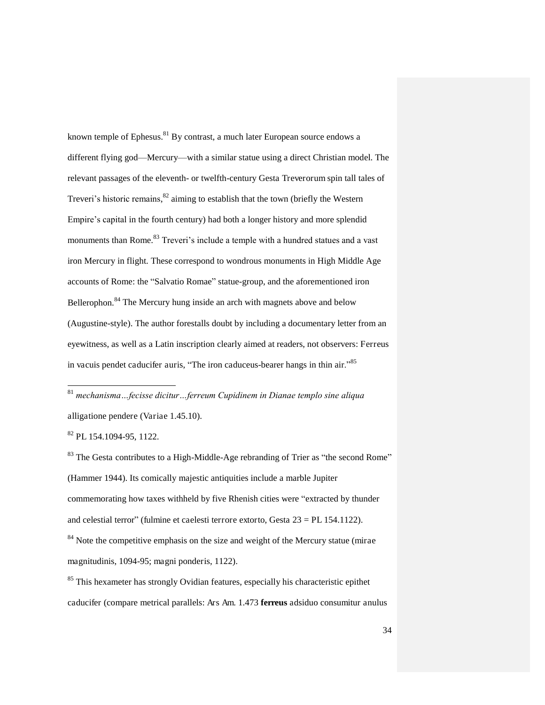known temple of Ephesus.<sup>81</sup> By contrast, a much later European source endows a different flying god—Mercury—with a similar statue using a direct Christian model. The relevant passages of the eleventh- or twelfth-century Gesta Treverorum spin tall tales of Treveri's historic remains,<sup>82</sup> aiming to establish that the town (briefly the Western Empire's capital in the fourth century) had both a longer history and more splendid monuments than Rome.<sup>83</sup> Treveri's include a temple with a hundred statues and a vast iron Mercury in flight. These correspond to wondrous monuments in High Middle Age accounts of Rome: the "Salvatio Romae" statue-group, and the aforementioned iron Bellerophon.<sup>84</sup> The Mercury hung inside an arch with magnets above and below (Augustine-style). The author forestalls doubt by including a documentary letter from an eyewitness, as well as a Latin inscription clearly aimed at readers, not observers: Ferreus in vacuis pendet caducifer auris, "The iron caduceus-bearer hangs in thin air."<sup>85</sup>

<sup>81</sup> *mechanisma…fecisse dicitur…ferreum Cupidinem in Dianae templo sine aliqua*  alligatione pendere (Variae 1.45.10).

<sup>82</sup> PL 154.1094-95, 1122.

-

<sup>83</sup> The Gesta contributes to a High-Middle-Age rebranding of Trier as "the second Rome" (Hammer 1944). Its comically majestic antiquities include a marble Jupiter commemorating how taxes withheld by five Rhenish cities were "extracted by thunder and celestial terror" (fulmine et caelesti terrore extorto, Gesta 23 = PL 154.1122). <sup>84</sup> Note the competitive emphasis on the size and weight of the Mercury statue (mirae magnitudinis, 1094-95; magni ponderis, 1122).

<sup>&</sup>lt;sup>85</sup> This hexameter has strongly Ovidian features, especially his characteristic epithet caducifer (compare metrical parallels: Ars Am. 1.473 **ferreus** adsiduo consumitur anulus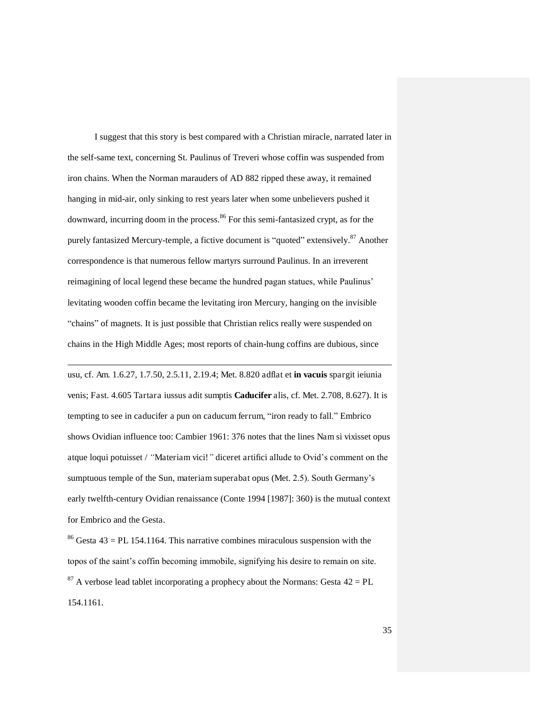I suggest that this story is best compared with a Christian miracle, narrated later in the self-same text, concerning St. Paulinus of Treveri whose coffin was suspended from iron chains. When the Norman marauders of AD 882 ripped these away, it remained hanging in mid-air, only sinking to rest years later when some unbelievers pushed it downward, incurring doom in the process.<sup>86</sup> For this semi-fantasized crypt, as for the purely fantasized Mercury-temple, a fictive document is "quoted" extensively.<sup>87</sup> Another correspondence is that numerous fellow martyrs surround Paulinus. In an irreverent reimagining of local legend these became the hundred pagan statues, while Paulinus' levitating wooden coffin became the levitating iron Mercury, hanging on the invisible "chains" of magnets. It is just possible that Christian relics really were suspended on chains in the High Middle Ages; most reports of chain-hung coffins are dubious, since

usu, cf. Am. 1.6.27, 1.7.50, 2.5.11, 2.19.4; Met. 8.820 adflat et **in vacuis** spargit ieiunia venis; Fast. 4.605 Tartara iussus adit sumptis **Caducifer** alis, cf. Met. 2.708, 8.627). It is tempting to see in caducifer a pun on caducum ferrum, "iron ready to fall." Embrico shows Ovidian influence too: Cambier 1961: 376 notes that the lines Nam si vixisset opus atque loqui potuisset / *"*Materiam vici!*"* diceret artifici allude to Ovid's comment on the sumptuous temple of the Sun, materiam superabat opus (Met. 2.5). South Germany's early twelfth-century Ovidian renaissance (Conte 1994 [1987]: 360) is the mutual context for Embrico and the Gesta.

-

<sup>86</sup> Gesta  $43 = PL$  154.1164. This narrative combines miraculous suspension with the topos of the saint's coffin becoming immobile, signifying his desire to remain on site.  $87$  A verbose lead tablet incorporating a prophecy about the Normans: Gesta  $42 = PL$ 154.1161.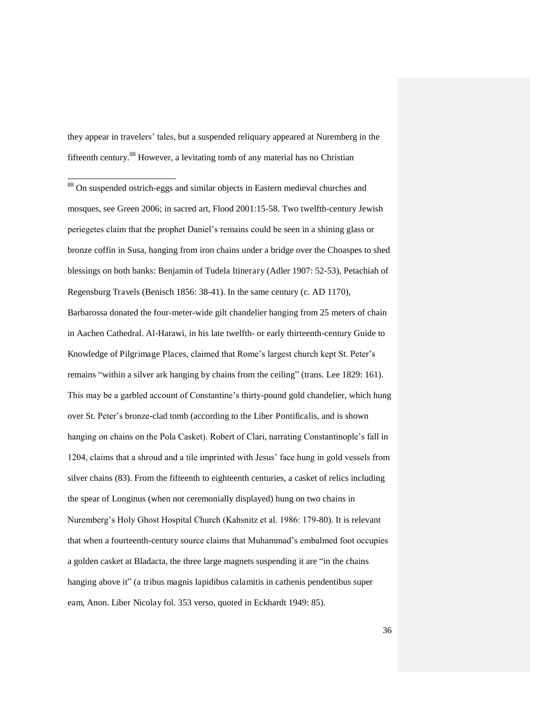they appear in travelers' tales, but a suspended reliquary appeared at Nuremberg in the fifteenth century.<sup>88</sup> However, a levitating tomb of any material has no Christian

-

<sup>88</sup> On suspended ostrich-eggs and similar objects in Eastern medieval churches and mosques, see Green 2006; in sacred art, Flood 2001:15-58. Two twelfth-century Jewish periegetes claim that the prophet Daniel's remains could be seen in a shining glass or bronze coffin in Susa, hanging from iron chains under a bridge over the Choaspes to shed blessings on both banks: Benjamin of Tudela Itinerary (Adler 1907: 52-53), Petachiah of Regensburg Travels (Benisch 1856: 38-41). In the same century (c. AD 1170), Barbarossa donated the four-meter-wide gilt chandelier hanging from 25 meters of chain in Aachen Cathedral. Al-Harawi, in his late twelfth- or early thirteenth-century Guide to Knowledge of Pilgrimage Places, claimed that Rome's largest church kept St. Peter's remains "within a silver ark hanging by chains from the ceiling" (trans. Lee 1829: 161). This may be a garbled account of Constantine's thirty-pound gold chandelier, which hung over St. Peter's bronze-clad tomb (according to the Liber Pontificalis, and is shown hanging on chains on the Pola Casket). Robert of Clari, narrating Constantinople's fall in 1204, claims that a shroud and a tile imprinted with Jesus' face hung in gold vessels from silver chains (83). From the fifteenth to eighteenth centuries, a casket of relics including the spear of Longinus (when not ceremonially displayed) hung on two chains in Nuremberg's Holy Ghost Hospital Church (Kahsnitz et al. 1986: 179-80). It is relevant that when a fourteenth-century source claims that Muhammad's embalmed foot occupies a golden casket at Bladacta, the three large magnets suspending it are "in the chains hanging above it" (a tribus magnis lapidibus calamitis in cathenis pendentibus super eam, Anon. Liber Nicolay fol. 353 verso, quoted in Eckhardt 1949: 85).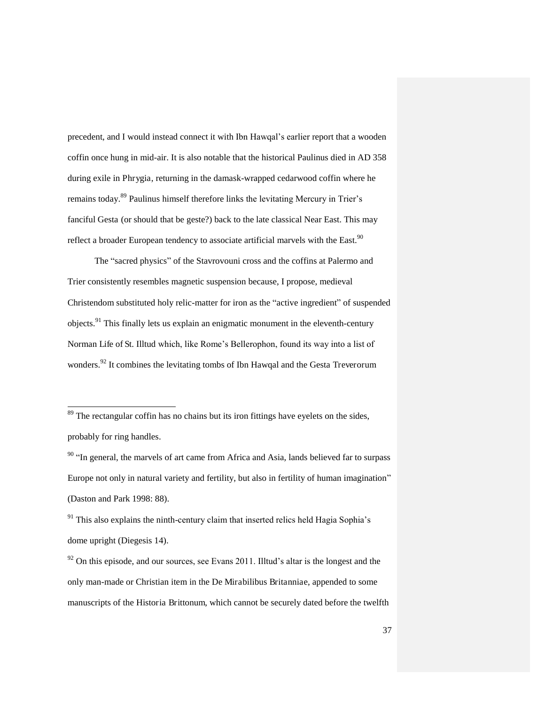precedent, and I would instead connect it with Ibn Hawqal's earlier report that a wooden coffin once hung in mid-air. It is also notable that the historical Paulinus died in AD 358 during exile in Phrygia, returning in the damask-wrapped cedarwood coffin where he remains today.<sup>89</sup> Paulinus himself therefore links the levitating Mercury in Trier's fanciful Gesta (or should that be geste?) back to the late classical Near East. This may reflect a broader European tendency to associate artificial marvels with the East.<sup>90</sup>

The "sacred physics" of the Stavrovouni cross and the coffins at Palermo and Trier consistently resembles magnetic suspension because, I propose, medieval Christendom substituted holy relic-matter for iron as the "active ingredient" of suspended objects.<sup>91</sup> This finally lets us explain an enigmatic monument in the eleventh-century Norman Life of St. Illtud which, like Rome's Bellerophon, found its way into a list of wonders.<sup>92</sup> It combines the levitating tombs of Ibn Hawqal and the Gesta Treverorum

 $89$  The rectangular coffin has no chains but its iron fittings have eyelets on the sides, probably for ring handles.

-

<sup>90</sup> "In general, the marvels of art came from Africa and Asia, lands believed far to surpass Europe not only in natural variety and fertility, but also in fertility of human imagination" (Daston and Park 1998: 88).

 $91$ <sup>91</sup> This also explains the ninth-century claim that inserted relics held Hagia Sophia's dome upright (Diegesis 14).

 $92$  On this episode, and our sources, see Evans 2011. Illtud's altar is the longest and the only man-made or Christian item in the De Mirabilibus Britanniae, appended to some manuscripts of the Historia Brittonum, which cannot be securely dated before the twelfth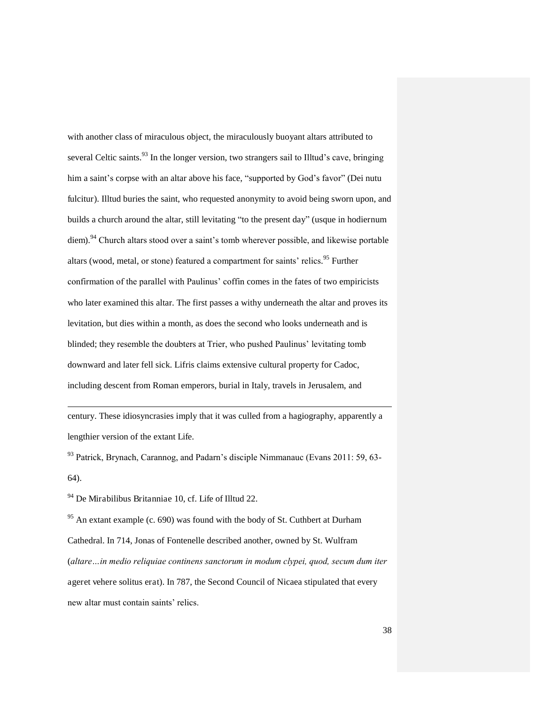with another class of miraculous object, the miraculously buoyant altars attributed to several Celtic saints.<sup>93</sup> In the longer version, two strangers sail to Illtud's cave, bringing him a saint's corpse with an altar above his face, "supported by God's favor" (Dei nutu fulcitur). Illtud buries the saint, who requested anonymity to avoid being sworn upon, and builds a church around the altar, still levitating "to the present day" (usque in hodiernum diem).<sup>94</sup> Church altars stood over a saint's tomb wherever possible, and likewise portable altars (wood, metal, or stone) featured a compartment for saints' relics. <sup>95</sup> Further confirmation of the parallel with Paulinus' coffin comes in the fates of two empiricists who later examined this altar. The first passes a withy underneath the altar and proves its levitation, but dies within a month, as does the second who looks underneath and is blinded; they resemble the doubters at Trier, who pushed Paulinus' levitating tomb downward and later fell sick. Lifris claims extensive cultural property for Cadoc, including descent from Roman emperors, burial in Italy, travels in Jerusalem, and

century. These idiosyncrasies imply that it was culled from a hagiography, apparently a lengthier version of the extant Life.

<sup>93</sup> Patrick, Brynach, Carannog, and Padarn's disciple Nimmanauc (Evans 2011: 59, 63- 64).

<sup>94</sup> De Mirabilibus Britanniae 10, cf. Life of Illtud 22.

-

<sup>95</sup> An extant example (c. 690) was found with the body of St. Cuthbert at Durham Cathedral. In 714, Jonas of Fontenelle described another, owned by St. Wulfram (*altare…in medio reliquiae continens sanctorum in modum clypei, quod, secum dum iter* ageret vehere solitus erat). In 787, the Second Council of Nicaea stipulated that every new altar must contain saints' relics.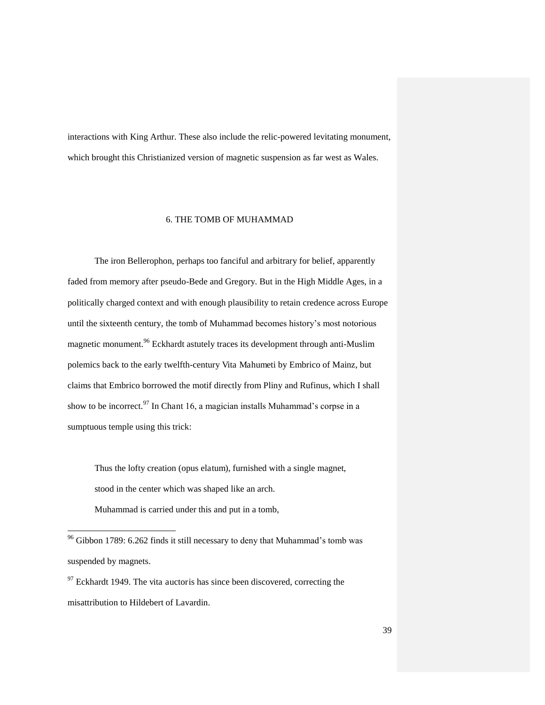interactions with King Arthur. These also include the relic-powered levitating monument, which brought this Christianized version of magnetic suspension as far west as Wales.

#### 6. THE TOMB OF MUHAMMAD

The iron Bellerophon, perhaps too fanciful and arbitrary for belief, apparently faded from memory after pseudo-Bede and Gregory. But in the High Middle Ages, in a politically charged context and with enough plausibility to retain credence across Europe until the sixteenth century, the tomb of Muhammad becomes history's most notorious magnetic monument.<sup>96</sup> Eckhardt astutely traces its development through anti-Muslim polemics back to the early twelfth-century Vita Mahumeti by Embrico of Mainz, but claims that Embrico borrowed the motif directly from Pliny and Rufinus, which I shall show to be incorrect.<sup>97</sup> In Chant 16, a magician installs Muhammad's corpse in a sumptuous temple using this trick:

Thus the lofty creation (opus elatum), furnished with a single magnet, stood in the center which was shaped like an arch. Muhammad is carried under this and put in a tomb,

 $96$  Gibbon 1789: 6.262 finds it still necessary to deny that Muhammad's tomb was suspended by magnets.

 $97$  Eckhardt 1949. The vita auctoris has since been discovered, correcting the misattribution to Hildebert of Lavardin.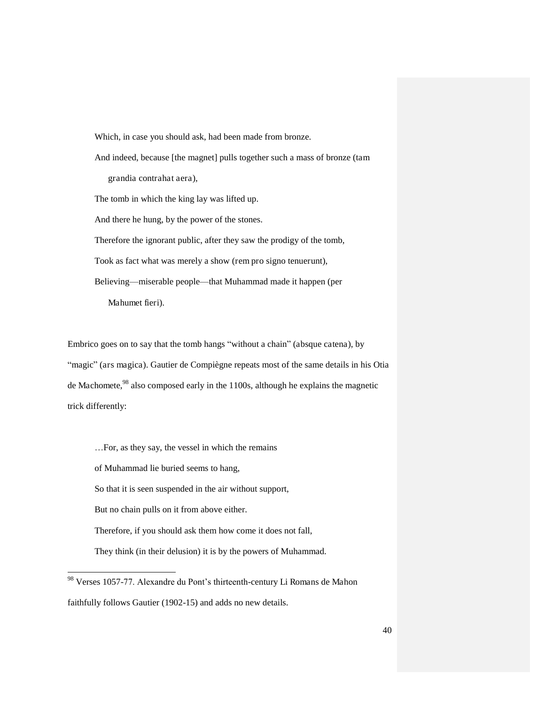Which, in case you should ask, had been made from bronze. And indeed, because [the magnet] pulls together such a mass of bronze (tam grandia contrahat aera), The tomb in which the king lay was lifted up. And there he hung, by the power of the stones. Therefore the ignorant public, after they saw the prodigy of the tomb, Took as fact what was merely a show (rem pro signo tenuerunt), Believing—miserable people—that Muhammad made it happen (per Mahumet fieri).

Embrico goes on to say that the tomb hangs "without a chain" (absque catena), by "magic" (ars magica). Gautier de Compiègne repeats most of the same details in his Otia de Machomete,<sup>98</sup> also composed early in the 1100s, although he explains the magnetic trick differently:

…For, as they say, the vessel in which the remains of Muhammad lie buried seems to hang, So that it is seen suspended in the air without support, But no chain pulls on it from above either. Therefore, if you should ask them how come it does not fall, They think (in their delusion) it is by the powers of Muhammad.

l

<sup>&</sup>lt;sup>98</sup> Verses 1057-77. Alexandre du Pont's thirteenth-century Li Romans de Mahon faithfully follows Gautier (1902-15) and adds no new details.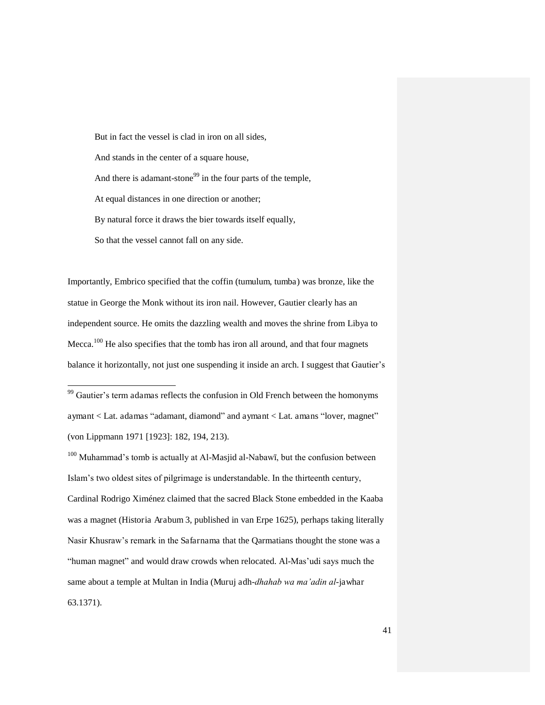But in fact the vessel is clad in iron on all sides, And stands in the center of a square house, And there is adamant-stone<sup>99</sup> in the four parts of the temple, At equal distances in one direction or another; By natural force it draws the bier towards itself equally, So that the vessel cannot fall on any side.

Importantly, Embrico specified that the coffin (tumulum, tumba) was bronze, like the statue in George the Monk without its iron nail. However, Gautier clearly has an independent source. He omits the dazzling wealth and moves the shrine from Libya to Mecca.<sup>100</sup> He also specifies that the tomb has iron all around, and that four magnets balance it horizontally, not just one suspending it inside an arch. I suggest that Gautier's

-

 $100$  Muhammad's tomb is actually at Al-Masjid al-Nabawī, but the confusion between Islam's two oldest sites of pilgrimage is understandable. In the thirteenth century, Cardinal Rodrigo Ximénez claimed that the sacred Black Stone embedded in the Kaaba was a magnet (Historia Arabum 3, published in van Erpe 1625), perhaps taking literally Nasir Khusraw's remark in the Safarnama that the Qarmatians thought the stone was a "human magnet" and would draw crowds when relocated. Al-Mas'udi says much the same about a temple at Multan in India (Muruj adh-*dhahab wa ma'adin al*-jawhar 63.1371).

<sup>&</sup>lt;sup>99</sup> Gautier's term adamas reflects the confusion in Old French between the homonyms aymant < Lat. adamas "adamant, diamond" and aymant < Lat. amans "lover, magnet" (von Lippmann 1971 [1923]: 182, 194, 213).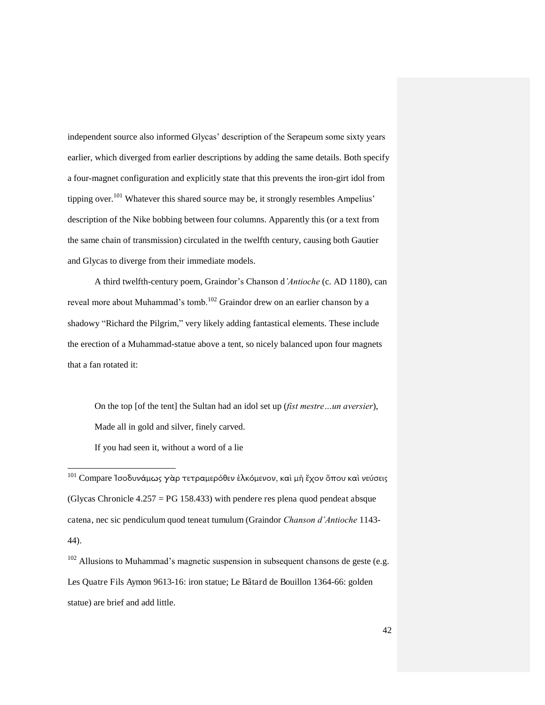independent source also informed Glycas' description of the Serapeum some sixty years earlier, which diverged from earlier descriptions by adding the same details. Both specify a four-magnet configuration and explicitly state that this prevents the iron-girt idol from tipping over.<sup>101</sup> Whatever this shared source may be, it strongly resembles Ampelius' description of the Nike bobbing between four columns. Apparently this (or a text from the same chain of transmission) circulated in the twelfth century, causing both Gautier and Glycas to diverge from their immediate models.

A third twelfth-century poem, Graindor's Chanson d*'Antioche* (c. AD 1180), can reveal more about Muhammad's tomb.<sup>102</sup> Graindor drew on an earlier chanson by a shadowy "Richard the Pilgrim," very likely adding fantastical elements. These include the erection of a Muhammad-statue above a tent, so nicely balanced upon four magnets that a fan rotated it:

On the top [of the tent] the Sultan had an idol set up (*fist mestre…un aversier*), Made all in gold and silver, finely carved. If you had seen it, without a word of a lie

-

 $102$  Allusions to Muhammad's magnetic suspension in subsequent chansons de geste (e.g. Les Quatre Fils Aymon 9613-16: iron statue; Le Bâtard de Bouillon 1364-66: golden statue) are brief and add little.

 $^{101}$  Compare Ἰσοδυνάμως γὰρ τετραμερόθεν ἑλκόμενον, καὶ μὴ ἔχον ὅπου καὶ νεύσεις (Glycas Chronicle  $4.257 = PG$  158.433) with pendere res plena quod pendeat absque catena, nec sic pendiculum quod teneat tumulum (Graindor *Chanson d'Antioche* 1143- 44).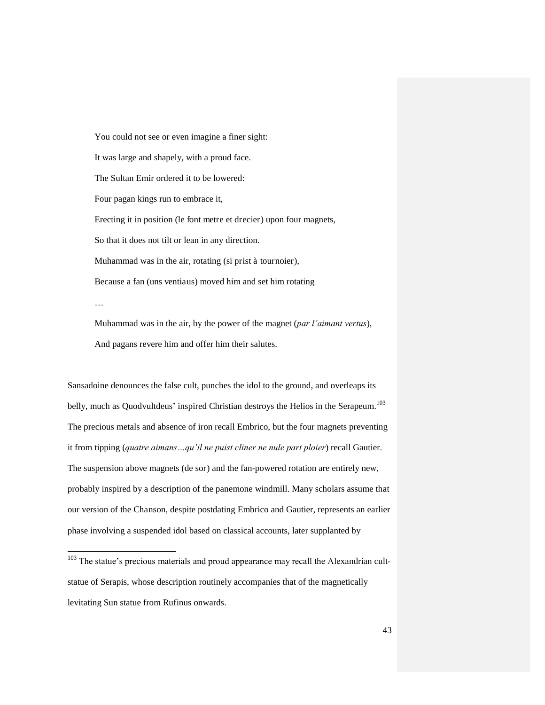You could not see or even imagine a finer sight: It was large and shapely, with a proud face. The Sultan Emir ordered it to be lowered: Four pagan kings run to embrace it, Erecting it in position (le font metre et drecier) upon four magnets, So that it does not tilt or lean in any direction. Muhammad was in the air, rotating (si prist à tournoier), Because a fan (uns ventiaus) moved him and set him rotating …

Muhammad was in the air, by the power of the magnet (*par l'aimant vertus*), And pagans revere him and offer him their salutes.

Sansadoine denounces the false cult, punches the idol to the ground, and overleaps its belly, much as Quodvultdeus' inspired Christian destroys the Helios in the Serapeum.<sup>103</sup> The precious metals and absence of iron recall Embrico, but the four magnets preventing it from tipping (*quatre aimans…qu'il ne puist cliner ne nule part ploier*) recall Gautier. The suspension above magnets (de sor) and the fan-powered rotation are entirely new, probably inspired by a description of the panemone windmill. Many scholars assume that our version of the Chanson, despite postdating Embrico and Gautier, represents an earlier phase involving a suspended idol based on classical accounts, later supplanted by

<sup>&</sup>lt;sup>103</sup> The statue's precious materials and proud appearance may recall the Alexandrian cultstatue of Serapis, whose description routinely accompanies that of the magnetically levitating Sun statue from Rufinus onwards.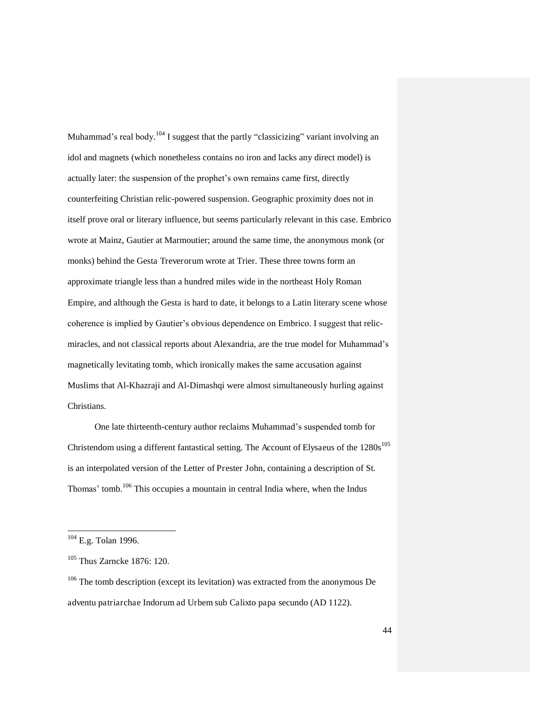Muhammad's real body.<sup>104</sup> I suggest that the partly "classicizing" variant involving an idol and magnets (which nonetheless contains no iron and lacks any direct model) is actually later: the suspension of the prophet's own remains came first, directly counterfeiting Christian relic-powered suspension. Geographic proximity does not in itself prove oral or literary influence, but seems particularly relevant in this case. Embrico wrote at Mainz, Gautier at Marmoutier; around the same time, the anonymous monk (or monks) behind the Gesta Treverorum wrote at Trier. These three towns form an approximate triangle less than a hundred miles wide in the northeast Holy Roman Empire, and although the Gesta is hard to date, it belongs to a Latin literary scene whose coherence is implied by Gautier's obvious dependence on Embrico. I suggest that relicmiracles, and not classical reports about Alexandria, are the true model for Muhammad's magnetically levitating tomb, which ironically makes the same accusation against Muslims that Al-Khazraji and Al-Dimashqi were almost simultaneously hurling against Christians.

One late thirteenth-century author reclaims Muhammad's suspended tomb for Christendom using a different fantastical setting. The Account of Elysaeus of the 1280s<sup>105</sup> is an interpolated version of the Letter of Prester John, containing a description of St. Thomas' tomb.<sup>106</sup> This occupies a mountain in central India where, when the Indus

 $104$  E.g. Tolan 1996.

<sup>105</sup> Thus Zarncke 1876: 120.

 $106$  The tomb description (except its levitation) was extracted from the anonymous De adventu patriarchae Indorum ad Urbem sub Calixto papa secundo (AD 1122).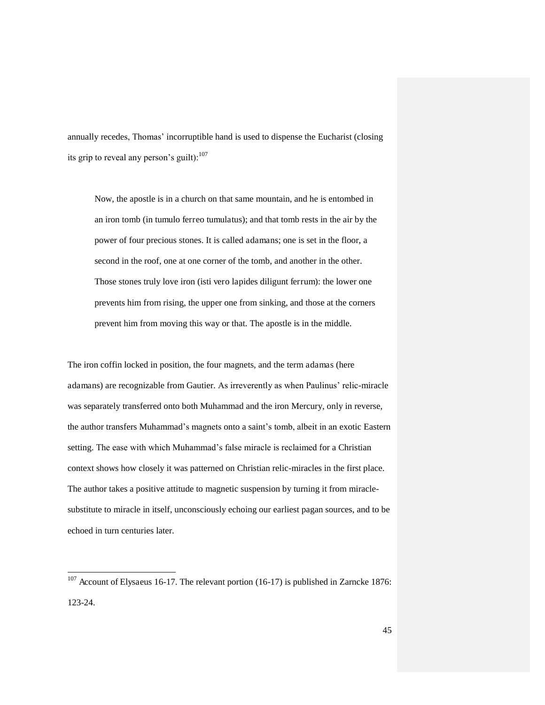annually recedes, Thomas' incorruptible hand is used to dispense the Eucharist (closing its grip to reveal any person's guilt): $107$ 

Now, the apostle is in a church on that same mountain, and he is entombed in an iron tomb (in tumulo ferreo tumulatus); and that tomb rests in the air by the power of four precious stones. It is called adamans; one is set in the floor, a second in the roof, one at one corner of the tomb, and another in the other. Those stones truly love iron (isti vero lapides diligunt ferrum): the lower one prevents him from rising, the upper one from sinking, and those at the corners prevent him from moving this way or that. The apostle is in the middle.

The iron coffin locked in position, the four magnets, and the term adamas (here adamans) are recognizable from Gautier. As irreverently as when Paulinus' relic-miracle was separately transferred onto both Muhammad and the iron Mercury, only in reverse, the author transfers Muhammad's magnets onto a saint's tomb, albeit in an exotic Eastern setting. The ease with which Muhammad's false miracle is reclaimed for a Christian context shows how closely it was patterned on Christian relic-miracles in the first place. The author takes a positive attitude to magnetic suspension by turning it from miraclesubstitute to miracle in itself, unconsciously echoing our earliest pagan sources, and to be echoed in turn centuries later.

l

 $107$  Account of Elysaeus 16-17. The relevant portion (16-17) is published in Zarncke 1876: 123-24.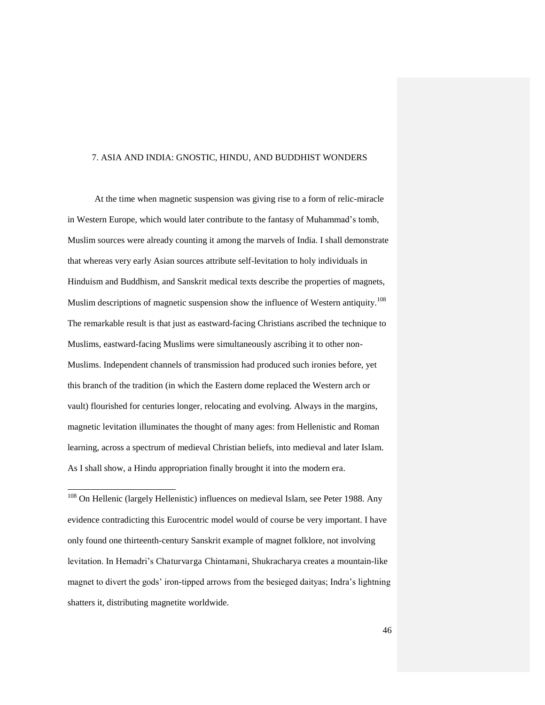#### 7. ASIA AND INDIA: GNOSTIC, HINDU, AND BUDDHIST WONDERS

At the time when magnetic suspension was giving rise to a form of relic-miracle in Western Europe, which would later contribute to the fantasy of Muhammad's tomb, Muslim sources were already counting it among the marvels of India. I shall demonstrate that whereas very early Asian sources attribute self-levitation to holy individuals in Hinduism and Buddhism, and Sanskrit medical texts describe the properties of magnets, Muslim descriptions of magnetic suspension show the influence of Western antiquity.<sup>108</sup> The remarkable result is that just as eastward-facing Christians ascribed the technique to Muslims, eastward-facing Muslims were simultaneously ascribing it to other non-Muslims. Independent channels of transmission had produced such ironies before, yet this branch of the tradition (in which the Eastern dome replaced the Western arch or vault) flourished for centuries longer, relocating and evolving. Always in the margins, magnetic levitation illuminates the thought of many ages: from Hellenistic and Roman learning, across a spectrum of medieval Christian beliefs, into medieval and later Islam. As I shall show, a Hindu appropriation finally brought it into the modern era.

<sup>108</sup> On Hellenic (largely Hellenistic) influences on medieval Islam, see Peter 1988. Any evidence contradicting this Eurocentric model would of course be very important. I have only found one thirteenth-century Sanskrit example of magnet folklore, not involving levitation. In Hemadri's Chaturvarga Chintamani, Shukracharya creates a mountain-like magnet to divert the gods' iron-tipped arrows from the besieged daityas; Indra's lightning shatters it, distributing magnetite worldwide.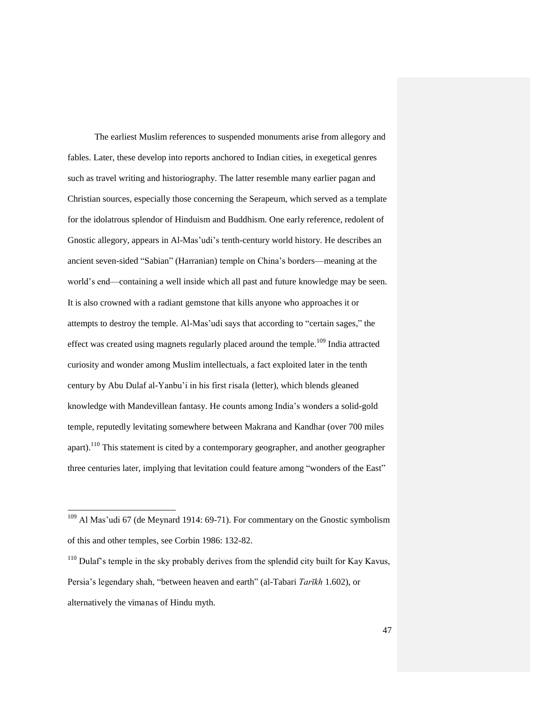The earliest Muslim references to suspended monuments arise from allegory and fables. Later, these develop into reports anchored to Indian cities, in exegetical genres such as travel writing and historiography. The latter resemble many earlier pagan and Christian sources, especially those concerning the Serapeum, which served as a template for the idolatrous splendor of Hinduism and Buddhism. One early reference, redolent of Gnostic allegory, appears in Al-Mas'udi's tenth-century world history. He describes an ancient seven-sided "Sabian" (Harranian) temple on China's borders—meaning at the world's end—containing a well inside which all past and future knowledge may be seen. It is also crowned with a radiant gemstone that kills anyone who approaches it or attempts to destroy the temple. Al-Mas'udi says that according to "certain sages," the effect was created using magnets regularly placed around the temple.<sup>109</sup> India attracted curiosity and wonder among Muslim intellectuals, a fact exploited later in the tenth century by Abu Dulaf al-Yanbu'i in his first risala (letter), which blends gleaned knowledge with Mandevillean fantasy. He counts among India's wonders a solid-gold temple, reputedly levitating somewhere between Makrana and Kandhar (over 700 miles apart).<sup>110</sup> This statement is cited by a contemporary geographer, and another geographer three centuries later, implying that levitation could feature among "wonders of the East"

<sup>&</sup>lt;sup>109</sup> Al Mas'udi 67 (de Meynard 1914: 69-71). For commentary on the Gnostic symbolism of this and other temples, see Corbin 1986: 132-82.

 $110$  Dulaf's temple in the sky probably derives from the splendid city built for Kay Kavus, Persia's legendary shah, "between heaven and earth" (al-Tabari *Tarīkh* 1.602), or alternatively the vimanas of Hindu myth.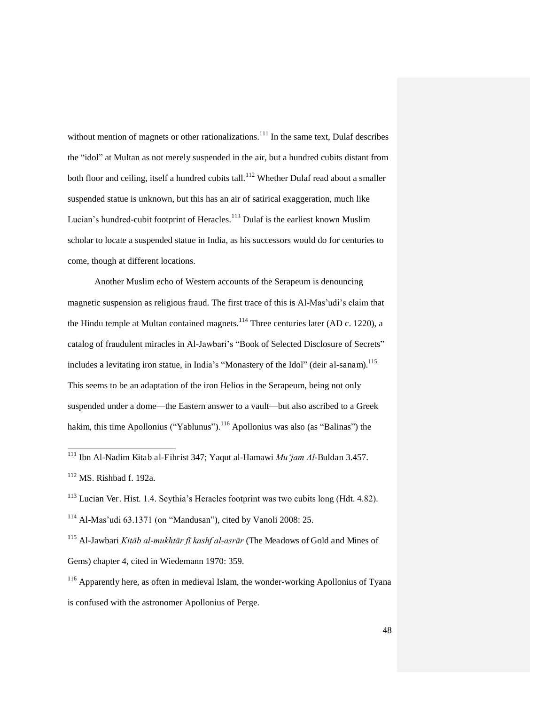without mention of magnets or other rationalizations.<sup>111</sup> In the same text, Dulaf describes the "idol" at Multan as not merely suspended in the air, but a hundred cubits distant from both floor and ceiling, itself a hundred cubits tall.<sup>112</sup> Whether Dulaf read about a smaller suspended statue is unknown, but this has an air of satirical exaggeration, much like Lucian's hundred-cubit footprint of Heracles.<sup>113</sup> Dulaf is the earliest known Muslim scholar to locate a suspended statue in India, as his successors would do for centuries to come, though at different locations.

Another Muslim echo of Western accounts of the Serapeum is denouncing magnetic suspension as religious fraud. The first trace of this is Al-Mas'udi's claim that the Hindu temple at Multan contained magnets.<sup>114</sup> Three centuries later (AD c. 1220), a catalog of fraudulent miracles in Al-Jawbari's "Book of Selected Disclosure of Secrets" includes a levitating iron statue, in India's "Monastery of the Idol" (deir al-sanam).<sup>115</sup> This seems to be an adaptation of the iron Helios in the Serapeum, being not only suspended under a dome—the Eastern answer to a vault—but also ascribed to a Greek hakim, this time Apollonius ("Yablunus").<sup>116</sup> Apollonius was also (as "Balinas") the

<sup>&</sup>lt;sup>111</sup> Ibn Al-Nadim Kitab al-Fihrist 347; Yaqut al-Hamawi *Mu 'jam Al*-Buldan 3.457.

 $112$  MS. Rishbad f. 192a.

<sup>113</sup> Lucian Ver. Hist. 1.4. Scythia's Heracles footprint was two cubits long (Hdt. 4.82). <sup>114</sup> Al-Mas'udi 63.1371 (on "Mandusan"), cited by Vanoli 2008: 25.

<sup>&</sup>lt;sup>115</sup> Al-Jawbari *Kitāb al-mukhtār fī kashf al-asrār* (The Meadows of Gold and Mines of Gems) chapter 4, cited in Wiedemann 1970: 359.

<sup>116</sup> Apparently here, as often in medieval Islam, the wonder-working Apollonius of Tyana is confused with the astronomer Apollonius of Perge.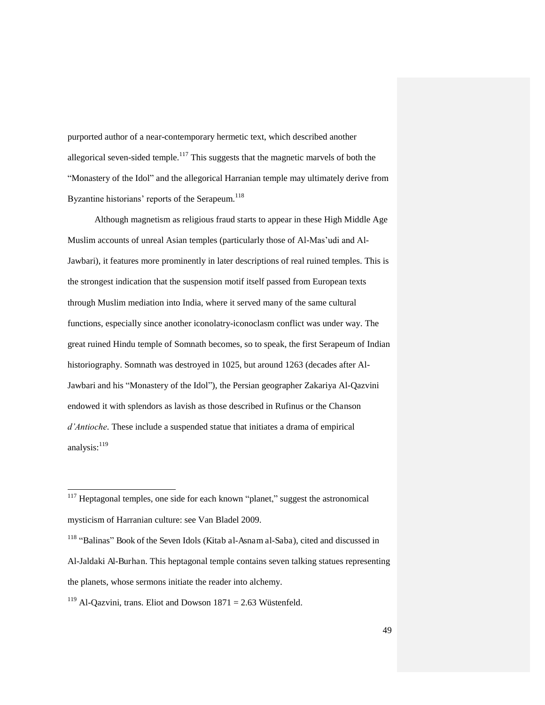purported author of a near-contemporary hermetic text, which described another allegorical seven-sided temple.<sup>117</sup> This suggests that the magnetic marvels of both the "Monastery of the Idol" and the allegorical Harranian temple may ultimately derive from Byzantine historians' reports of the Serapeum.<sup>118</sup>

Although magnetism as religious fraud starts to appear in these High Middle Age Muslim accounts of unreal Asian temples (particularly those of Al-Mas'udi and Al-Jawbari), it features more prominently in later descriptions of real ruined temples. This is the strongest indication that the suspension motif itself passed from European texts through Muslim mediation into India, where it served many of the same cultural functions, especially since another iconolatry-iconoclasm conflict was under way. The great ruined Hindu temple of Somnath becomes, so to speak, the first Serapeum of Indian historiography. Somnath was destroyed in 1025, but around 1263 (decades after Al-Jawbari and his "Monastery of the Idol"), the Persian geographer Zakariya Al-Qazvini endowed it with splendors as lavish as those described in Rufinus or the Chanson *d'Antioche*. These include a suspended statue that initiates a drama of empirical analysis: $119$ 

 $117$  Heptagonal temples, one side for each known "planet," suggest the astronomical mysticism of Harranian culture: see Van Bladel 2009.

<sup>&</sup>lt;sup>118</sup> "Balinas" Book of the Seven Idols (Kitab al-Asnam al-Saba), cited and discussed in Al-Jaldaki Al-Burhan. This heptagonal temple contains seven talking statues representing the planets, whose sermons initiate the reader into alchemy.

<sup>&</sup>lt;sup>119</sup> Al-Qazvini, trans. Eliot and Dowson  $1871 = 2.63$  Wüstenfeld.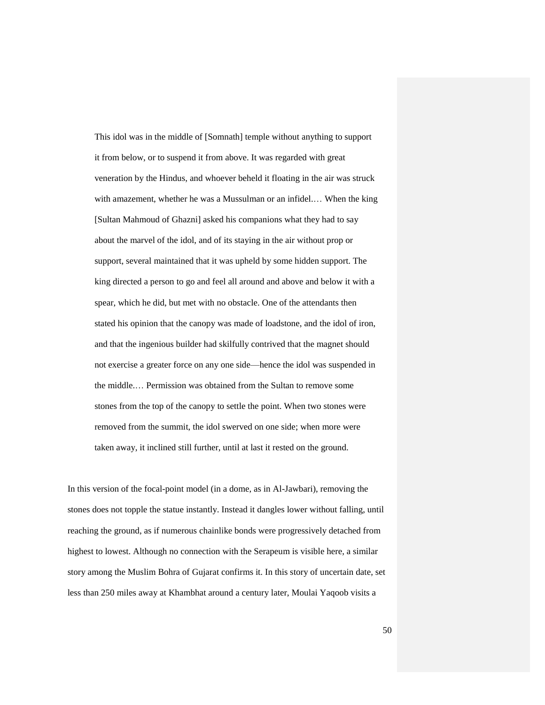This idol was in the middle of [Somnath] temple without anything to support it from below, or to suspend it from above. It was regarded with great veneration by the Hindus, and whoever beheld it floating in the air was struck with amazement, whether he was a Mussulman or an infidel.… When the king [Sultan Mahmoud of Ghazni] asked his companions what they had to say about the marvel of the idol, and of its staying in the air without prop or support, several maintained that it was upheld by some hidden support. The king directed a person to go and feel all around and above and below it with a spear, which he did, but met with no obstacle. One of the attendants then stated his opinion that the canopy was made of loadstone, and the idol of iron, and that the ingenious builder had skilfully contrived that the magnet should not exercise a greater force on any one side—hence the idol was suspended in the middle.… Permission was obtained from the Sultan to remove some stones from the top of the canopy to settle the point. When two stones were removed from the summit, the idol swerved on one side; when more were taken away, it inclined still further, until at last it rested on the ground.

In this version of the focal-point model (in a dome, as in Al-Jawbari), removing the stones does not topple the statue instantly. Instead it dangles lower without falling, until reaching the ground, as if numerous chainlike bonds were progressively detached from highest to lowest. Although no connection with the Serapeum is visible here, a similar story among the Muslim Bohra of Gujarat confirms it. In this story of uncertain date, set less than 250 miles away at Khambhat around a century later, Moulai Yaqoob visits a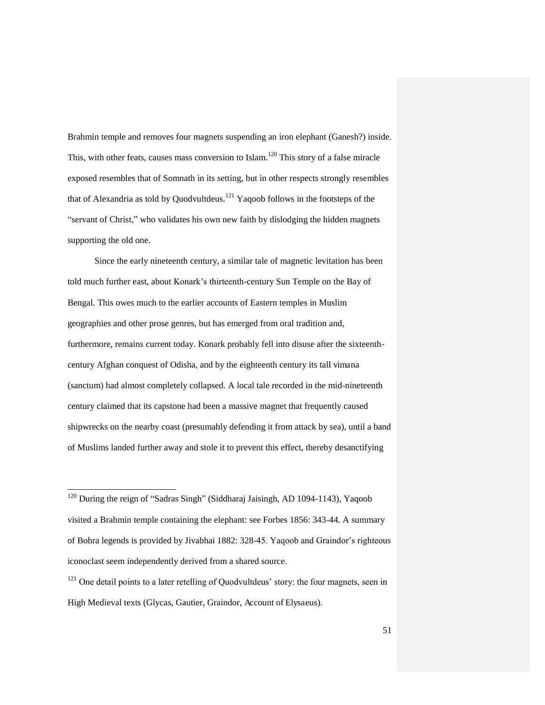Brahmin temple and removes four magnets suspending an iron elephant (Ganesh?) inside. This, with other feats, causes mass conversion to Islam.<sup>120</sup> This story of a false miracle exposed resembles that of Somnath in its setting, but in other respects strongly resembles that of Alexandria as told by Quodvultdeus.<sup>121</sup> Yaqoob follows in the footsteps of the "servant of Christ," who validates his own new faith by dislodging the hidden magnets supporting the old one.

Since the early nineteenth century, a similar tale of magnetic levitation has been told much further east, about Konark's thirteenth-century Sun Temple on the Bay of Bengal. This owes much to the earlier accounts of Eastern temples in Muslim geographies and other prose genres, but has emerged from oral tradition and, furthermore, remains current today. Konark probably fell into disuse after the sixteenthcentury Afghan conquest of Odisha, and by the eighteenth century its tall vimana (sanctum) had almost completely collapsed. A local tale recorded in the mid-nineteenth century claimed that its capstone had been a massive magnet that frequently caused shipwrecks on the nearby coast (presumably defending it from attack by sea), until a band of Muslims landed further away and stole it to prevent this effect, thereby desanctifying

 $120$  During the reign of "Sadras Singh" (Siddharaj Jaisingh, AD 1094-1143), Yaqoob visited a Brahmin temple containing the elephant: see Forbes 1856: 343-44. A summary of Bohra legends is provided by Jivabhai 1882: 328-45. Yaqoob and Graindor's righteous iconoclast seem independently derived from a shared source.

 $121$  One detail points to a later retelling of Quodvultdeus' story: the four magnets, seen in High Medieval texts (Glycas, Gautier, Graindor, Account of Elysaeus).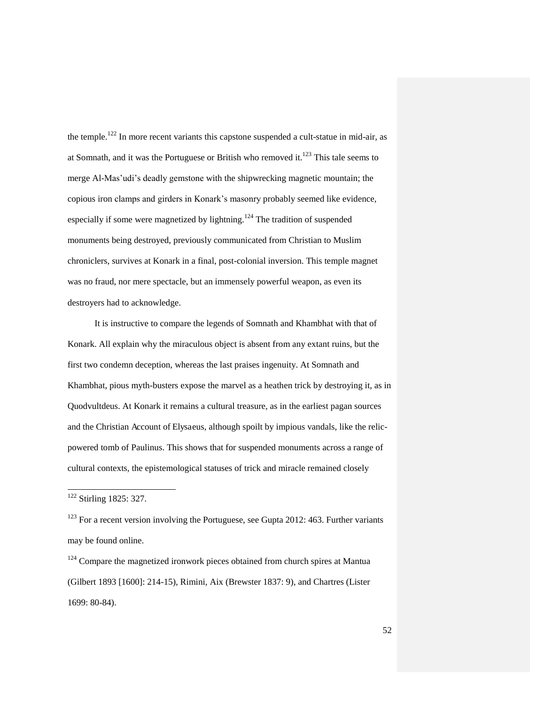the temple.<sup>122</sup> In more recent variants this capstone suspended a cult-statue in mid-air, as at Somnath, and it was the Portuguese or British who removed it.<sup>123</sup> This tale seems to merge Al-Mas'udi's deadly gemstone with the shipwrecking magnetic mountain; the copious iron clamps and girders in Konark's masonry probably seemed like evidence, especially if some were magnetized by lightning.<sup>124</sup> The tradition of suspended monuments being destroyed, previously communicated from Christian to Muslim chroniclers, survives at Konark in a final, post-colonial inversion. This temple magnet was no fraud, nor mere spectacle, but an immensely powerful weapon, as even its destroyers had to acknowledge.

It is instructive to compare the legends of Somnath and Khambhat with that of Konark. All explain why the miraculous object is absent from any extant ruins, but the first two condemn deception, whereas the last praises ingenuity. At Somnath and Khambhat, pious myth-busters expose the marvel as a heathen trick by destroying it, as in Quodvultdeus. At Konark it remains a cultural treasure, as in the earliest pagan sources and the Christian Account of Elysaeus, although spoilt by impious vandals, like the relicpowered tomb of Paulinus. This shows that for suspended monuments across a range of cultural contexts, the epistemological statuses of trick and miracle remained closely

<sup>&</sup>lt;sup>122</sup> Stirling 1825: 327.

 $123$  For a recent version involving the Portuguese, see Gupta 2012: 463. Further variants may be found online.

 $124$  Compare the magnetized ironwork pieces obtained from church spires at Mantua (Gilbert 1893 [1600]: 214-15), Rimini, Aix (Brewster 1837: 9), and Chartres (Lister 1699: 80-84).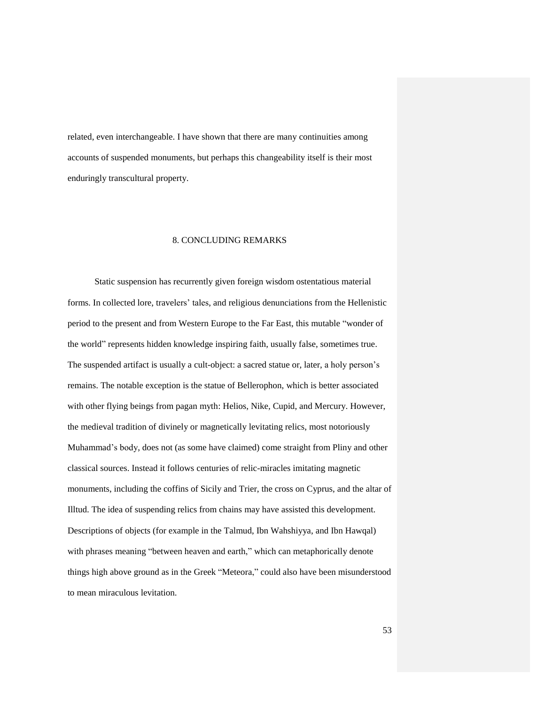related, even interchangeable. I have shown that there are many continuities among accounts of suspended monuments, but perhaps this changeability itself is their most enduringly transcultural property.

#### 8. CONCLUDING REMARKS

Static suspension has recurrently given foreign wisdom ostentatious material forms. In collected lore, travelers' tales, and religious denunciations from the Hellenistic period to the present and from Western Europe to the Far East, this mutable "wonder of the world" represents hidden knowledge inspiring faith, usually false, sometimes true. The suspended artifact is usually a cult-object: a sacred statue or, later, a holy person's remains. The notable exception is the statue of Bellerophon, which is better associated with other flying beings from pagan myth: Helios, Nike, Cupid, and Mercury. However, the medieval tradition of divinely or magnetically levitating relics, most notoriously Muhammad's body, does not (as some have claimed) come straight from Pliny and other classical sources. Instead it follows centuries of relic-miracles imitating magnetic monuments, including the coffins of Sicily and Trier, the cross on Cyprus, and the altar of Illtud. The idea of suspending relics from chains may have assisted this development. Descriptions of objects (for example in the Talmud, Ibn Wahshiyya, and Ibn Hawqal) with phrases meaning "between heaven and earth," which can metaphorically denote things high above ground as in the Greek "Meteora," could also have been misunderstood to mean miraculous levitation.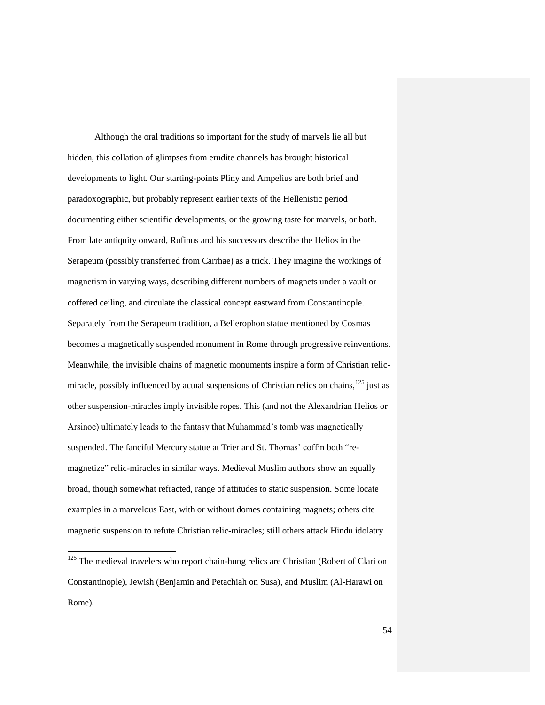Although the oral traditions so important for the study of marvels lie all but hidden, this collation of glimpses from erudite channels has brought historical developments to light. Our starting-points Pliny and Ampelius are both brief and paradoxographic, but probably represent earlier texts of the Hellenistic period documenting either scientific developments, or the growing taste for marvels, or both. From late antiquity onward, Rufinus and his successors describe the Helios in the Serapeum (possibly transferred from Carrhae) as a trick. They imagine the workings of magnetism in varying ways, describing different numbers of magnets under a vault or coffered ceiling, and circulate the classical concept eastward from Constantinople. Separately from the Serapeum tradition, a Bellerophon statue mentioned by Cosmas becomes a magnetically suspended monument in Rome through progressive reinventions. Meanwhile, the invisible chains of magnetic monuments inspire a form of Christian relicmiracle, possibly influenced by actual suspensions of Christian relics on chains,  $^{125}$  just as other suspension-miracles imply invisible ropes. This (and not the Alexandrian Helios or Arsinoe) ultimately leads to the fantasy that Muhammad's tomb was magnetically suspended. The fanciful Mercury statue at Trier and St. Thomas' coffin both "remagnetize" relic-miracles in similar ways. Medieval Muslim authors show an equally broad, though somewhat refracted, range of attitudes to static suspension. Some locate examples in a marvelous East, with or without domes containing magnets; others cite magnetic suspension to refute Christian relic-miracles; still others attack Hindu idolatry

 $125$  The medieval travelers who report chain-hung relics are Christian (Robert of Clari on Constantinople), Jewish (Benjamin and Petachiah on Susa), and Muslim (Al-Harawi on Rome).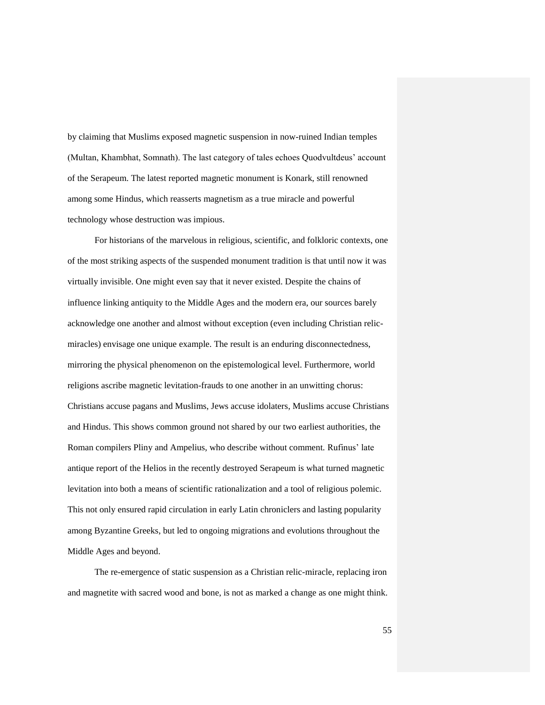by claiming that Muslims exposed magnetic suspension in now-ruined Indian temples (Multan, Khambhat, Somnath). The last category of tales echoes Quodvultdeus' account of the Serapeum. The latest reported magnetic monument is Konark, still renowned among some Hindus, which reasserts magnetism as a true miracle and powerful technology whose destruction was impious.

For historians of the marvelous in religious, scientific, and folkloric contexts, one of the most striking aspects of the suspended monument tradition is that until now it was virtually invisible. One might even say that it never existed. Despite the chains of influence linking antiquity to the Middle Ages and the modern era, our sources barely acknowledge one another and almost without exception (even including Christian relicmiracles) envisage one unique example. The result is an enduring disconnectedness, mirroring the physical phenomenon on the epistemological level. Furthermore, world religions ascribe magnetic levitation-frauds to one another in an unwitting chorus: Christians accuse pagans and Muslims, Jews accuse idolaters, Muslims accuse Christians and Hindus. This shows common ground not shared by our two earliest authorities, the Roman compilers Pliny and Ampelius, who describe without comment. Rufinus' late antique report of the Helios in the recently destroyed Serapeum is what turned magnetic levitation into both a means of scientific rationalization and a tool of religious polemic. This not only ensured rapid circulation in early Latin chroniclers and lasting popularity among Byzantine Greeks, but led to ongoing migrations and evolutions throughout the Middle Ages and beyond.

The re-emergence of static suspension as a Christian relic-miracle, replacing iron and magnetite with sacred wood and bone, is not as marked a change as one might think.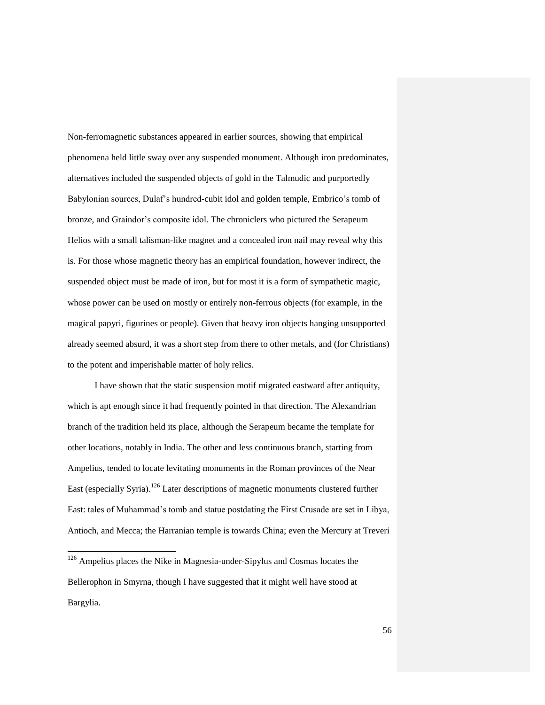Non-ferromagnetic substances appeared in earlier sources, showing that empirical phenomena held little sway over any suspended monument. Although iron predominates, alternatives included the suspended objects of gold in the Talmudic and purportedly Babylonian sources, Dulaf's hundred-cubit idol and golden temple, Embrico's tomb of bronze, and Graindor's composite idol. The chroniclers who pictured the Serapeum Helios with a small talisman-like magnet and a concealed iron nail may reveal why this is. For those whose magnetic theory has an empirical foundation, however indirect, the suspended object must be made of iron, but for most it is a form of sympathetic magic, whose power can be used on mostly or entirely non-ferrous objects (for example, in the magical papyri, figurines or people). Given that heavy iron objects hanging unsupported already seemed absurd, it was a short step from there to other metals, and (for Christians) to the potent and imperishable matter of holy relics.

I have shown that the static suspension motif migrated eastward after antiquity, which is apt enough since it had frequently pointed in that direction. The Alexandrian branch of the tradition held its place, although the Serapeum became the template for other locations, notably in India. The other and less continuous branch, starting from Ampelius, tended to locate levitating monuments in the Roman provinces of the Near East (especially Syria).<sup>126</sup> Later descriptions of magnetic monuments clustered further East: tales of Muhammad's tomb and statue postdating the First Crusade are set in Libya, Antioch, and Mecca; the Harranian temple is towards China; even the Mercury at Treveri

 $126$  Ampelius places the Nike in Magnesia-under-Sipylus and Cosmas locates the Bellerophon in Smyrna, though I have suggested that it might well have stood at Bargylia.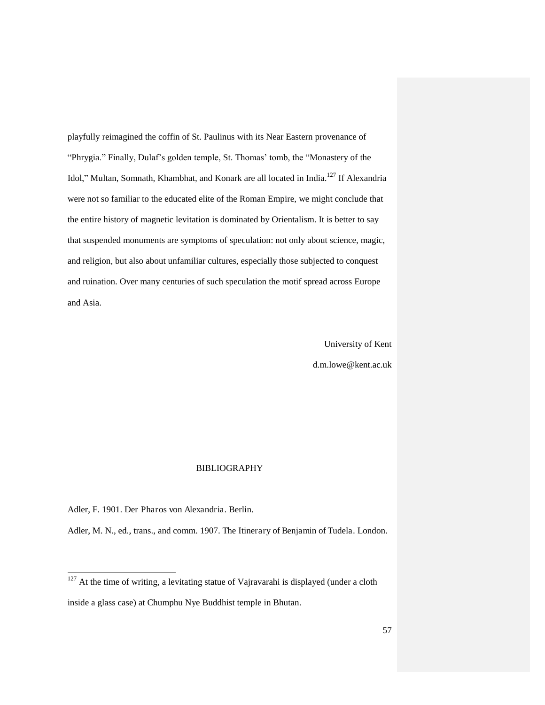playfully reimagined the coffin of St. Paulinus with its Near Eastern provenance of "Phrygia." Finally, Dulaf's golden temple, St. Thomas' tomb, the "Monastery of the Idol," Multan, Somnath, Khambhat, and Konark are all located in India.<sup>127</sup> If Alexandria were not so familiar to the educated elite of the Roman Empire, we might conclude that the entire history of magnetic levitation is dominated by Orientalism. It is better to say that suspended monuments are symptoms of speculation: not only about science, magic, and religion, but also about unfamiliar cultures, especially those subjected to conquest and ruination. Over many centuries of such speculation the motif spread across Europe and Asia.

> University of Kent d.m.lowe@kent.ac.uk

#### BIBLIOGRAPHY

Adler, F. 1901. Der Pharos von Alexandria. Berlin.

l

Adler, M. N., ed., trans., and comm. 1907. The Itinerary of Benjamin of Tudela. London.

 $127$  At the time of writing, a levitating statue of Vajravarahi is displayed (under a cloth inside a glass case) at Chumphu Nye Buddhist temple in Bhutan.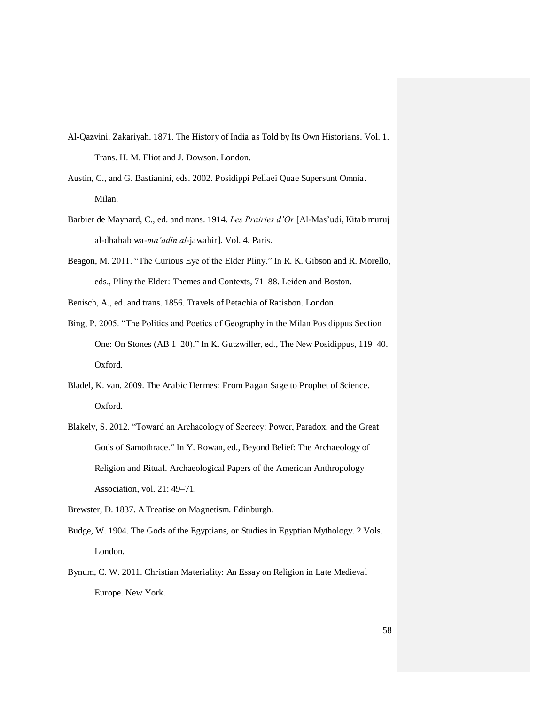- Al-Qazvini, Zakariyah. 1871. The History of India as Told by Its Own Historians. Vol. 1. Trans. H. M. Eliot and J. Dowson. London.
- Austin, C., and G. Bastianini, eds. 2002. Posidippi Pellaei Quae Supersunt Omnia. Milan.
- Barbier de Maynard, C., ed. and trans. 1914. *Les Prairies d'Or* [Al-Mas'udi, Kitab muruj al-dhahab wa-*ma'adin al*-jawahir]. Vol. 4. Paris.
- Beagon, M. 2011. "The Curious Eye of the Elder Pliny." In R. K. Gibson and R. Morello, eds., Pliny the Elder: Themes and Contexts, 71–88. Leiden and Boston.
- Benisch, A., ed. and trans. 1856. Travels of Petachia of Ratisbon. London.
- Bing, P. 2005. "The Politics and Poetics of Geography in the Milan Posidippus Section One: On Stones (AB 1–20)." In K. Gutzwiller, ed., The New Posidippus, 119–40. Oxford.
- Bladel, K. van. 2009. The Arabic Hermes: From Pagan Sage to Prophet of Science. Oxford.
- Blakely, S. 2012. "Toward an Archaeology of Secrecy: Power, Paradox, and the Great Gods of Samothrace." In Y. Rowan, ed., Beyond Belief: The Archaeology of Religion and Ritual. Archaeological Papers of the American Anthropology Association, vol. 21: 49–71.

Brewster, D. 1837. A Treatise on Magnetism. Edinburgh.

- Budge, W. 1904. The Gods of the Egyptians, or Studies in Egyptian Mythology. 2 Vols. London.
- Bynum, C. W. 2011. Christian Materiality: An Essay on Religion in Late Medieval Europe. New York.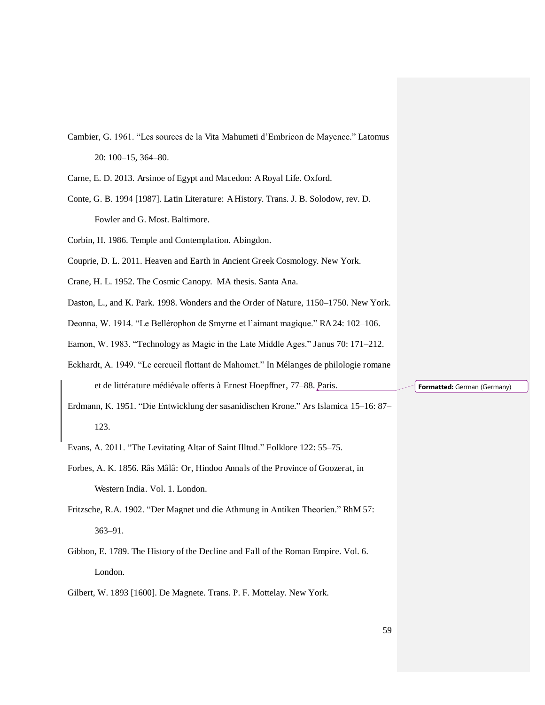- Cambier, G. 1961. "Les sources de la Vita Mahumeti d'Embricon de Mayence." Latomus 20: 100–15, 364–80.
- Carne, E. D. 2013. Arsinoe of Egypt and Macedon: A Royal Life. Oxford.
- Conte, G. B. 1994 [1987]. Latin Literature: A History. Trans. J. B. Solodow, rev. D. Fowler and G. Most. Baltimore.
- Corbin, H. 1986. Temple and Contemplation. Abingdon.
- Couprie, D. L. 2011. Heaven and Earth in Ancient Greek Cosmology. New York.
- Crane, H. L. 1952. The Cosmic Canopy. MA thesis. Santa Ana.
- Daston, L., and K. Park. 1998. Wonders and the Order of Nature, 1150–1750. New York.
- Deonna, W. 1914. "Le Bellérophon de Smyrne et l'aimant magique." RA 24: 102–106.
- Eamon, W. 1983. "Technology as Magic in the Late Middle Ages." Janus 70: 171–212.
- Eckhardt, A. 1949. "Le cercueil flottant de Mahomet." In Mélanges de philologie romane et de littérature médiévale offerts à Ernest Hoepffner, 77–88. Paris.
- Erdmann, K. 1951. "Die Entwicklung der sasanidischen Krone." Ars Islamica 15–16: 87– 123.
- Evans, A. 2011. "The Levitating Altar of Saint Illtud." Folklore 122: 55–75.
- Forbes, A. K. 1856. Râs Mâlâ: Or, Hindoo Annals of the Province of Goozerat, in Western India. Vol. 1. London.
- Fritzsche, R.A. 1902. "Der Magnet und die Athmung in Antiken Theorien." RhM 57: 363–91.
- Gibbon, E. 1789. The History of the Decline and Fall of the Roman Empire. Vol. 6. London.
- Gilbert, W. 1893 [1600]. De Magnete. Trans. P. F. Mottelay. New York.

**Formatted:** German (Germany)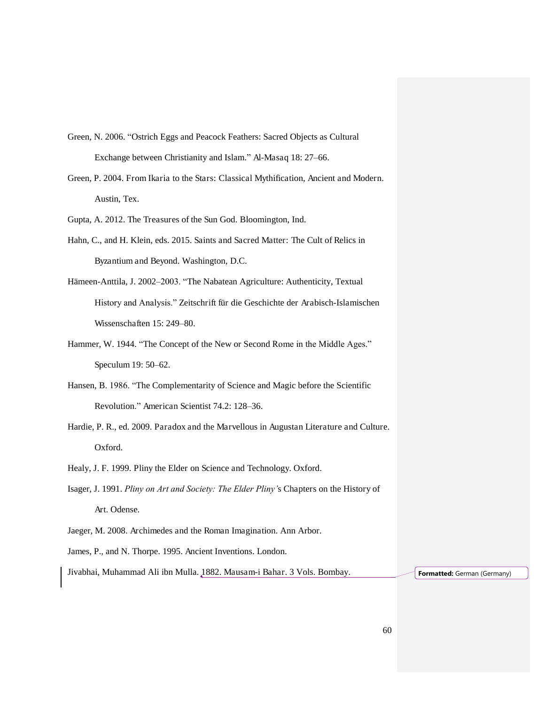- Green, N. 2006. "Ostrich Eggs and Peacock Feathers: Sacred Objects as Cultural Exchange between Christianity and Islam." Al-Masaq 18: 27–66.
- Green, P. 2004. From Ikaria to the Stars: Classical Mythification, Ancient and Modern. Austin, Tex.
- Gupta, A. 2012. The Treasures of the Sun God. Bloomington, Ind.
- Hahn, C., and H. Klein, eds. 2015. Saints and Sacred Matter: The Cult of Relics in Byzantium and Beyond. Washington, D.C.
- Hämeen-Anttila, J. 2002–2003. "The Nabatean Agriculture: Authenticity, Textual History and Analysis." Zeitschrift für die Geschichte der Arabisch-Islamischen Wissenschaften 15: 249–80.
- Hammer, W. 1944. "The Concept of the New or Second Rome in the Middle Ages." Speculum 19: 50–62.
- Hansen, B. 1986. "The Complementarity of Science and Magic before the Scientific Revolution." American Scientist 74.2: 128–36.
- Hardie, P. R., ed. 2009. Paradox and the Marvellous in Augustan Literature and Culture. Oxford.
- Healy, J. F. 1999. Pliny the Elder on Science and Technology. Oxford.
- Isager, J. 1991. *Pliny on Art and Society: The Elder Pliny'*s Chapters on the History of Art. Odense.
- Jaeger, M. 2008. Archimedes and the Roman Imagination. Ann Arbor.

James, P., and N. Thorpe. 1995. Ancient Inventions. London.

Jivabhai, Muhammad Ali ibn Mulla. 1882. Mausam-i Bahar. 3 Vols. Bombay. **Formatted:** German (Germany)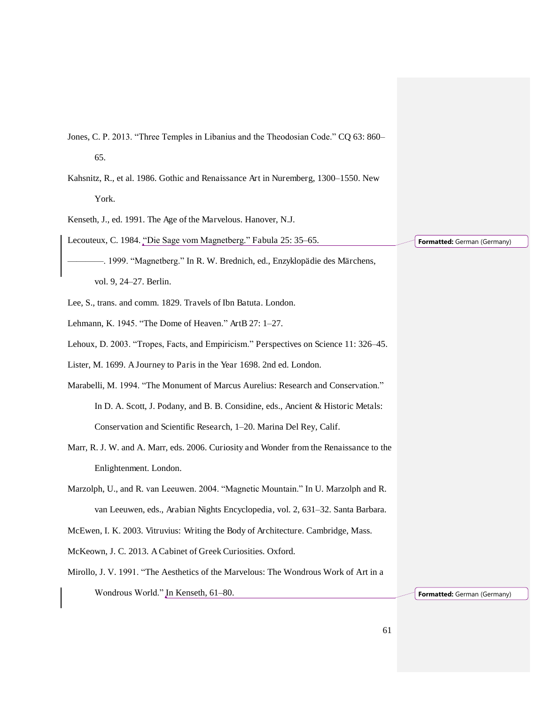- Jones, C. P. 2013. "Three Temples in Libanius and the Theodosian Code." CQ 63: 860– 65.
- Kahsnitz, R., et al. 1986. Gothic and Renaissance Art in Nuremberg, 1300*–*1550. New York.

Kenseth, J., ed. 1991. The Age of the Marvelous. Hanover, N.J.

Lecouteux, C. 1984. "Die Sage vom Magnetberg." Fabula 25: 35–65.

-. 1999. "Magnetberg." In R. W. Brednich, ed., Enzyklopädie des Märchens, vol. 9, 24–27. Berlin.

Lee, S., trans. and comm. 1829. Travels of Ibn Batuta. London.

- Lehmann, K. 1945. "The Dome of Heaven." ArtB 27: 1–27.
- Lehoux, D. 2003. "Tropes, Facts, and Empiricism." Perspectives on Science 11: 326–45.

Lister, M. 1699. A Journey to Paris in the Year 1698. 2nd ed. London.

- Marabelli, M. 1994. "The Monument of Marcus Aurelius: Research and Conservation." In D. A. Scott, J. Podany, and B. B. Considine, eds., Ancient & Historic Metals: Conservation and Scientific Research, 1–20. Marina Del Rey, Calif.
- Marr, R. J. W. and A. Marr, eds. 2006. Curiosity and Wonder from the Renaissance to the Enlightenment. London.
- Marzolph, U., and R. van Leeuwen. 2004. "Magnetic Mountain." In U. Marzolph and R. van Leeuwen, eds., Arabian Nights Encyclopedia, vol. 2, 631–32. Santa Barbara.

McEwen, I. K. 2003. Vitruvius: Writing the Body of Architecture. Cambridge, Mass.

McKeown, J. C. 2013. A Cabinet of Greek Curiosities. Oxford.

Mirollo, J. V. 1991. "The Aesthetics of the Marvelous: The Wondrous Work of Art in a Wondrous World." In Kenseth, 61–80.

**Formatted:** German (Germany)

**Formatted:** German (Germany)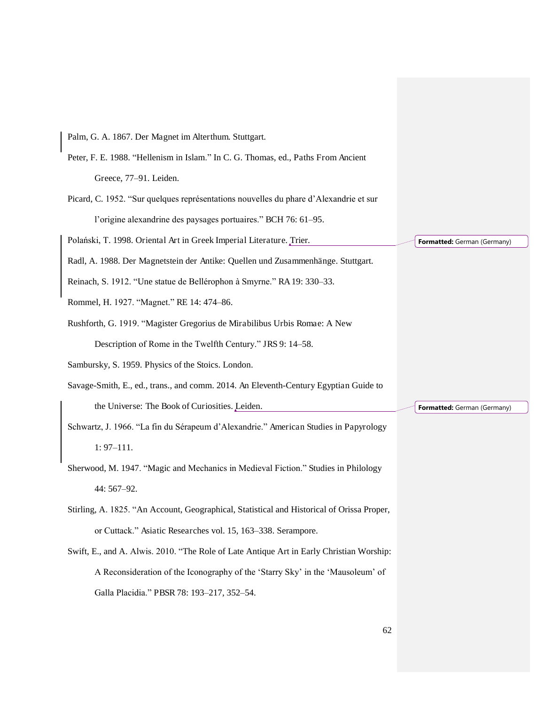Palm, G. A. 1867. Der Magnet im Alterthum. Stuttgart. Peter, F. E. 1988. "Hellenism in Islam." In C. G. Thomas, ed., Paths From Ancient Greece, 77–91. Leiden. Picard, C. 1952. "Sur quelques représentations nouvelles du phare d'Alexandrie et sur l'origine alexandrine des paysages portuaires." BCH 76: 61–95. Polański, T. 1998. Oriental Art in Greek Imperial Literature. Trier. Radl, A. 1988. Der Magnetstein der Antike: Quellen und Zusammenhänge. Stuttgart. Reinach, S. 1912. "Une statue de Bellérophon à Smyrne." RA 19: 330–33. Rommel, H. 1927. "Magnet." RE 14: 474–86. Rushforth, G. 1919. "Magister Gregorius de Mirabilibus Urbis Romae: A New Description of Rome in the Twelfth Century." JRS 9: 14–58. Sambursky, S. 1959. Physics of the Stoics. London. Savage-Smith, E., ed., trans., and comm. 2014. An Eleventh-Century Egyptian Guide to the Universe: The Book of Curiosities. Leiden. Schwartz, J. 1966. "La fin du Sérapeum d'Alexandrie." American Studies in Papyrology 1: 97–111. Sherwood, M. 1947. "Magic and Mechanics in Medieval Fiction." Studies in Philology 44: 567–92. Stirling, A. 1825. "An Account, Geographical, Statistical and Historical of Orissa Proper, or Cuttack." Asiatic Researches vol. 15, 163–338. Serampore. Swift, E., and A. Alwis. 2010. "The Role of Late Antique Art in Early Christian Worship: A Reconsideration of the Iconography of the 'Starry Sky' in the 'Mausoleum' of Galla Placidia." PBSR 78: 193–217, 352–54. **Formatted:** German (Germany) **Formatted:** German (Germany)